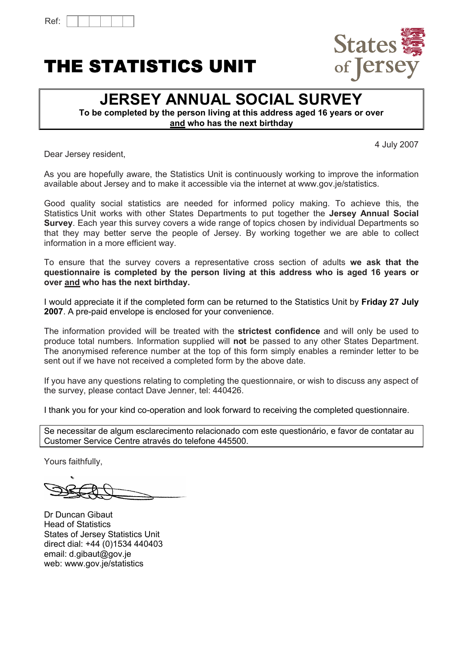# THE STATISTICS UNIT



# **JERSEY ANNUAL SOCIAL SURVEY**

**To be completed by the person living at this address aged 16 years or over and who has the next birthday**

4 July 2007

Dear Jersey resident,

As you are hopefully aware, the Statistics Unit is continuously working to improve the information available about Jersey and to make it accessible via the internet at www.gov.je/statistics.

Good quality social statistics are needed for informed policy making. To achieve this, the Statistics Unit works with other States Departments to put together the **Jersey Annual Social Survey**. Each year this survey covers a wide range of topics chosen by individual Departments so that they may better serve the people of Jersey. By working together we are able to collect information in a more efficient way.

To ensure that the survey covers a representative cross section of adults **we ask that the questionnaire is completed by the person living at this address who is aged 16 years or over and who has the next birthday.**

I would appreciate it if the completed form can be returned to the Statistics Unit by **Friday 27 July 2007**. A pre-paid envelope is enclosed for your convenience.

The information provided will be treated with the **strictest confidence** and will only be used to produce total numbers. Information supplied will **not** be passed to any other States Department. The anonymised reference number at the top of this form simply enables a reminder letter to be sent out if we have not received a completed form by the above date.

If you have any questions relating to completing the questionnaire, or wish to discuss any aspect of the survey, please contact Dave Jenner, tel: 440426.

I thank you for your kind co-operation and look forward to receiving the completed questionnaire.

Se necessitar de algum esclarecimento relacionado com este questionário, e favor de contatar au Customer Service Centre através do telefone 445500.

Yours faithfully,

Dr Duncan Gibaut Head of Statistics States of Jersey Statistics Unit direct dial: +44 (0)1534 440403 email: d.gibaut@gov.je web: www.gov.je/statistics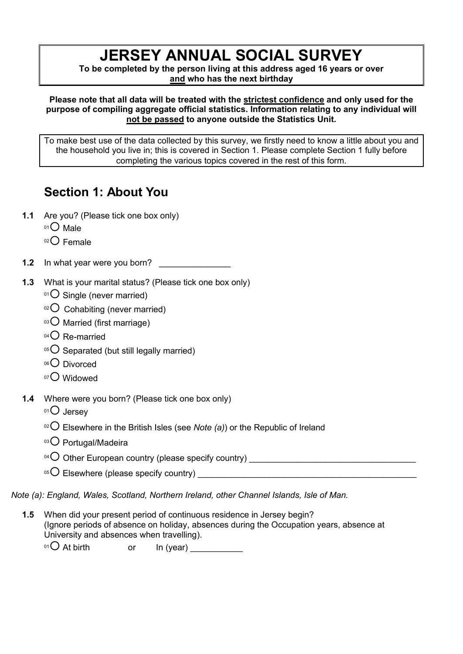# **JERSEY ANNUAL SOCIAL SURVEY**

**To be completed by the person living at this address aged 16 years or over and who has the next birthday**

**Please note that all data will be treated with the strictest confidence and only used for the purpose of compiling aggregate official statistics. Information relating to any individual will not be passed to anyone outside the Statistics Unit.**

To make best use of the data collected by this survey, we firstly need to know a little about you and the household you live in; this is covered in Section 1. Please complete Section 1 fully before completing the various topics covered in the rest of this form.

# **Section 1: About You**

- **1.1** Are you? (Please tick one box only)
	- $01$  Male
	- $02$  Female
- **1.2** In what year were you born?
- **1.3** What is your marital status? (Please tick one box only)
	- $01$  Single (never married)
	- $02$  Cohabiting (never married)
	- $03$  Married (first marriage)
	- $04$  Re-married
	- $05$  Separated (but still legally married)
	- $06$  Divorced
	- 07<sup>O</sup> Widowed
- **1.4** Where were you born? (Please tick one box only)
	- $01$  Jersey
	- <sup>02</sup> $\bigcirc$  Elsewhere in the British Isles (see *Note (a)*) or the Republic of Ireland
	- 03<sup>O</sup> Portugal/Madeira
	- <sup>04</sup>¡ Other European country (please specify country) \_\_\_\_\_\_\_\_\_\_\_\_\_\_\_\_\_\_\_\_\_\_\_\_\_\_\_\_\_\_\_\_\_\_\_
	- <sup>05</sup>¡ Elsewhere (please specify country) \_\_\_\_\_\_\_\_\_\_\_\_\_\_\_\_\_\_\_\_\_\_\_\_\_\_\_\_\_\_\_\_\_\_\_\_\_\_\_\_\_\_\_\_\_\_

*Note (a): England, Wales, Scotland, Northern Ireland, other Channel Islands, Isle of Man.*

**1.5** When did your present period of continuous residence in Jersey begin? (Ignore periods of absence on holiday, absences during the Occupation years, absence at University and absences when travelling).

 $^{01}$  At birth or In (year)  $\frac{1}{2}$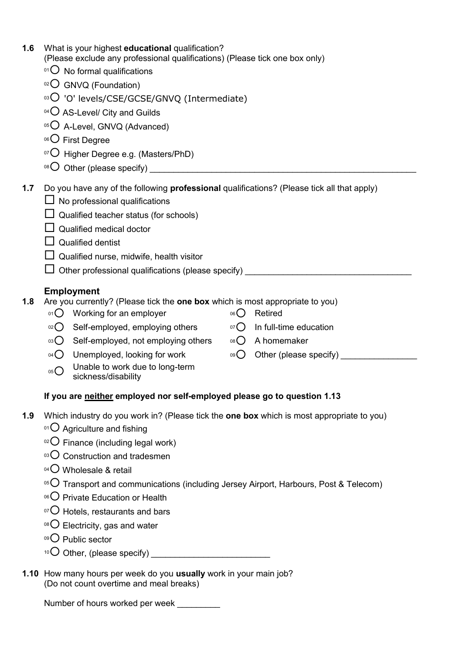| 1.6 | What is your highest educational qualification?<br>(Please exclude any professional qualifications) (Please tick one box only)     |              |                        |  |  |  |  |  |  |  |
|-----|------------------------------------------------------------------------------------------------------------------------------------|--------------|------------------------|--|--|--|--|--|--|--|
|     | $^{01}$ O No formal qualifications                                                                                                 |              |                        |  |  |  |  |  |  |  |
|     | 02 GNVQ (Foundation)                                                                                                               |              |                        |  |  |  |  |  |  |  |
|     | <sup>03</sup> O 'O' levels/CSE/GCSE/GNVQ (Intermediate)                                                                            |              |                        |  |  |  |  |  |  |  |
|     | $04\text{O}$ AS-Level/ City and Guilds                                                                                             |              |                        |  |  |  |  |  |  |  |
|     | 05 O A-Level, GNVQ (Advanced)                                                                                                      |              |                        |  |  |  |  |  |  |  |
|     | 06 First Degree                                                                                                                    |              |                        |  |  |  |  |  |  |  |
|     | $\overline{O}$ Higher Degree e.g. (Masters/PhD)                                                                                    |              |                        |  |  |  |  |  |  |  |
|     | $^{08}$ O Other (please specify) _                                                                                                 |              |                        |  |  |  |  |  |  |  |
| 1.7 | Do you have any of the following professional qualifications? (Please tick all that apply)                                         |              |                        |  |  |  |  |  |  |  |
|     | $\Box$ No professional qualifications                                                                                              |              |                        |  |  |  |  |  |  |  |
|     | $\Box$ Qualified teacher status (for schools)                                                                                      |              |                        |  |  |  |  |  |  |  |
|     | $\Box$ Qualified medical doctor                                                                                                    |              |                        |  |  |  |  |  |  |  |
|     | <b>Qualified dentist</b>                                                                                                           |              |                        |  |  |  |  |  |  |  |
|     | $\Box$ Qualified nurse, midwife, health visitor                                                                                    |              |                        |  |  |  |  |  |  |  |
|     | □ Other professional qualifications (please specify) ________________                                                              |              |                        |  |  |  |  |  |  |  |
|     |                                                                                                                                    |              |                        |  |  |  |  |  |  |  |
| 1.8 | <b>Employment</b><br>Are you currently? (Please tick the one box which is most appropriate to you)                                 |              |                        |  |  |  |  |  |  |  |
|     | 01 Working for an employer                                                                                                         | 06()         | Retired                |  |  |  |  |  |  |  |
|     | Self-employed, employing others<br>O(2C)                                                                                           | O(50)        | In full-time education |  |  |  |  |  |  |  |
|     | $03$ $\bigcap$<br>Self-employed, not employing others                                                                              | $08\bigcirc$ | A homemaker            |  |  |  |  |  |  |  |
|     | Unemployed, looking for work<br>$04$ $\bigcap$                                                                                     |              |                        |  |  |  |  |  |  |  |
|     | Unable to work due to long-term<br>05()<br>sickness/disability                                                                     |              |                        |  |  |  |  |  |  |  |
|     | If you are neither employed nor self-employed please go to question 1.13                                                           |              |                        |  |  |  |  |  |  |  |
| 1.9 | Which industry do you work in? (Please tick the one box which is most appropriate to you)<br>01 $\bigcirc$ Agriculture and fishing |              |                        |  |  |  |  |  |  |  |
|     |                                                                                                                                    |              |                        |  |  |  |  |  |  |  |

- $02$  Finance (including legal work)
- 03<sup>O</sup> Construction and tradesmen
- $04$ <sup>O</sup> Wholesale & retail
- $105$  Transport and communications (including Jersey Airport, Harbours, Post & Telecom)
- 06<sup>O</sup> Private Education or Health
- $107$  Hotels, restaurants and bars
- $08$  Electricity, gas and water
- 09<sup>O</sup> Public sector
- <sup>10</sup>¡ Other, (please specify) \_\_\_\_\_\_\_\_\_\_\_\_\_\_\_\_\_\_\_\_\_\_\_\_\_
- **1.10** How many hours per week do you **usually** work in your main job? (Do not count overtime and meal breaks)

Number of hours worked per week \_\_\_\_\_\_\_\_\_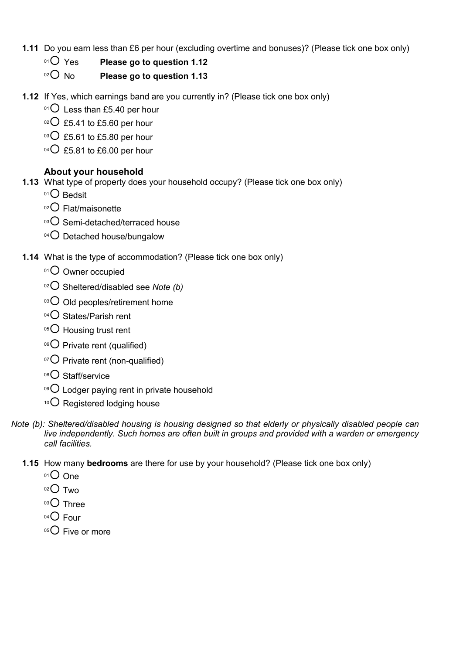- **1.11** Do you earn less than £6 per hour (excluding overtime and bonuses)? (Please tick one box only)
	- <sup>01</sup> $\overline{O}$  Yes **Please go to question 1.12**
	- <sup>02</sup> No **Please go to question 1.13**
- **1.12** If Yes, which earnings band are you currently in? (Please tick one box only)
	- $01$  Less than £5.40 per hour
	- $02$  £5.41 to £5.60 per hour
	- $\,^{\circ}$ 3 $\,$  £5.61 to £5.80 per hour
	- $^{04}$  $O$  £5.81 to £6.00 per hour

### **About your household**

- **1.13** What type of property does your household occupy? (Please tick one box only)
	- $01$ <sup>O</sup> Bedsit
	- $02$  Flat/maisonette
	- $\degree$  Semi-detached/terraced house
	- $04$  Detached house/bungalow
- **1.14** What is the type of accommodation? (Please tick one box only)
	- 01<sup>O</sup> Owner occupied
	- <sup>02</sup> Sheltered/disabled see *Note* (b)
	- $03$  Old peoples/retirement home
	- $^{04}$  $O$  States/Parish rent
	- $05^\circ$  Housing trust rent
	- $06$  Private rent (qualified)
	- $\rm{O}$  Private rent (non-qualified)
	- 08<sup>O</sup> Staff/service
	- $09$  Lodger paying rent in private household
	- $10$  Registered lodging house
- *Note (b): Sheltered/disabled housing is housing designed so that elderly or physically disabled people can live independently. Such homes are often built in groups and provided with a warden or emergency call facilities.*
	- **1.15** How many **bedrooms** are there for use by your household? (Please tick one box only)
		- $O$  One
		- $02$  Two
		- $03$  Three
		- $04$  Four
		- $05$  Five or more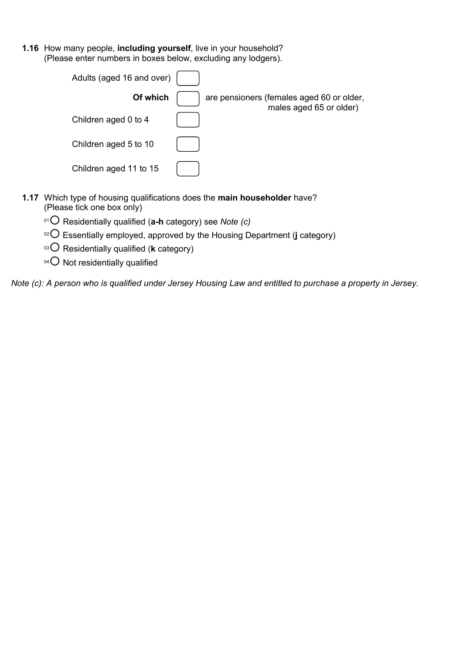**1.16** How many people, **including yourself**, live in your household? (Please enter numbers in boxes below, excluding any lodgers).

| Adults (aged 16 and over) |                                                                      |
|---------------------------|----------------------------------------------------------------------|
| Of which                  | are pensioners (females aged 60 or older,<br>males aged 65 or older) |
| Children aged 0 to 4      |                                                                      |
| Children aged 5 to 10     |                                                                      |
| Children aged 11 to 15    |                                                                      |

- **1.17** Which type of housing qualifications does the **main householder** have? (Please tick one box only)
	- <sup>01</sup>¡ Residentially qualified (**a-h** category) see *Note (c)*
	- <sup>02</sup> $\bigcirc$  Essentially employed, approved by the Housing Department (**j** category)
	- <sup>03</sup> C Residentially qualified (**k** category)
	- $04$  Not residentially qualified

*Note (c): A person who is qualified under Jersey Housing Law and entitled to purchase a property in Jersey.*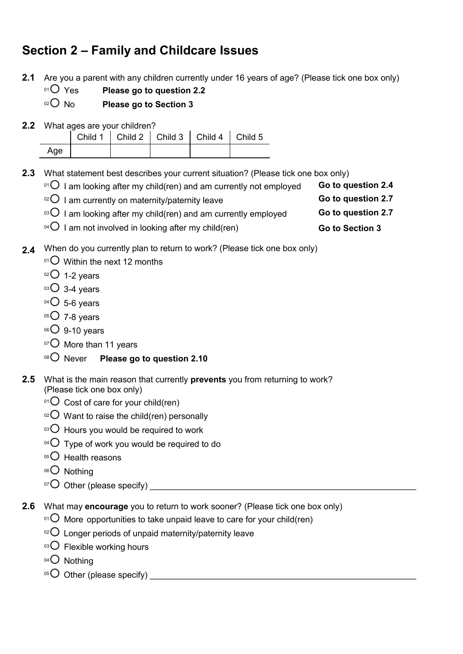# **Section 2 – Family and Childcare Issues**

- **2.1** Are you a parent with any children currently under 16 years of age? (Please tick one box only)
	- $\rm ^{01}O\,$  Yes  $\quad$  Please go to question 2.2  $\,$
	- $\rm ^{02}O$  No  $\rm ~$  Please go to Section 3
- **2.2** What ages are your children?

|     | Child 1   Child 2   Child 3   Child 4   Child 5 |  |  |
|-----|-------------------------------------------------|--|--|
| Age |                                                 |  |  |

**2.3** What statement best describes your current situation? (Please tick one box only)

- $01$ <sup>01</sup> $\overline{O}$  I am looking after my child(ren) and am currently not employed **Go to question 2.4**
- $^{02}$  I am currently on maternity/paternity leave **Go to question 2.7**
- $^{03}$  I am looking after my child(ren) and am currently employed **Go to question 2.7**
- $^{04}$  $\bigcirc$  I am not involved in looking after my child(ren)  $\qquad \qquad$  Go to Section 3
- 2.4 When do you currently plan to return to work? (Please tick one box only)
	- $^{01}$ C Within the next 12 months
	- $02$  1-2 years
	- $03$  3-4 years
	- $04$  5-6 years
	- $05$  7-8 years
	- $06$  9-10 years
	- 07<sup>O</sup> More than 11 years
	- <sup>08</sup> $\bigcirc$  Never **Please go to question 2.10**
- **2.5** What is the main reason that currently **prevents** you from returning to work? (Please tick one box only)
	- $01$  Cost of care for your child(ren)
	- $02$  Want to raise the child(ren) personally
	- $03$  Hours you would be required to work
	- $^{04}$  Type of work you would be required to do
	- $05$  Health reasons
	- $06$  Nothing
	- $\circ$ <sup> $\circ$ </sup> Other (please specify)  $\circ$
- **2.6** What may **encourage** you to return to work sooner? (Please tick one box only)
	- $01^{\circ}$  More opportunities to take unpaid leave to care for your child(ren)
	- $10^{2}$  Longer periods of unpaid maternity/paternity leave
	- $03\bigcirc$  Flexible working hours
	- 04<sup>O</sup> Nothing
	- $105\text{O}$  Other (please specify)  $105\text{O}$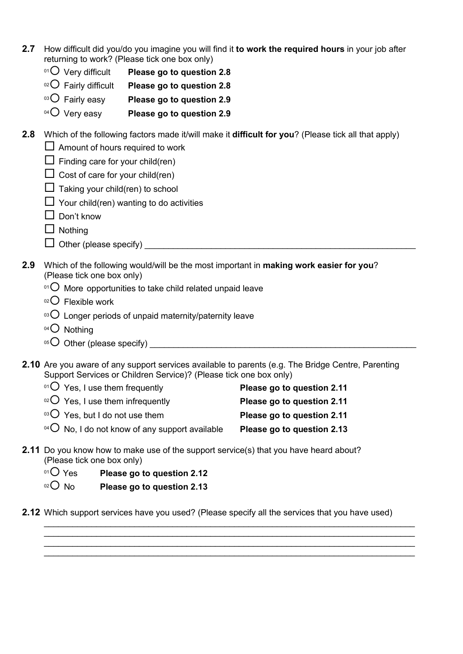- **2.7** How difficult did you/do you imagine you will find it **to work the required hours** in your job after returning to work? (Please tick one box only)
	- <sup>01</sup>¡ Very difficult **Please go to question 2.8**
	- 02<sup>O</sup> Fairly difficult **Please go to question 2.8**
	- <sup>03</sup> $\bigcirc$  Fairly easy **Please go to question 2.9**
	- <sup>04</sup> $\bigcirc$  Very easy **Please go to question 2.9**
- **2.8** Which of the following factors made it/will make it **difficult for you**? (Please tick all that apply)  $\Box$  Amount of hours required to work
	- $\Box$  Finding care for your child(ren)
	- $\Box$  Cost of care for your child(ren)
	- $\Box$  Taking your child(ren) to school
	- $\Box$  Your child(ren) wanting to do activities
	- $\Box$  Don't know
	- $\Box$  Nothing
	- $\Box$  Other (please specify)
- **2.9** Which of the following would/will be the most important in **making work easier for you**? (Please tick one box only)
	- $01$  More opportunities to take child related unpaid leave
	- $02$  Flexible work
	- $103$  Longer periods of unpaid maternity/paternity leave
	- $04$  Nothing
	- <sup>05</sup>¡ Other (please specify) \_\_\_\_\_\_\_\_\_\_\_\_\_\_\_\_\_\_\_\_\_\_\_\_\_\_\_\_\_\_\_\_\_\_\_\_\_\_\_\_\_\_\_\_\_\_\_\_\_\_\_\_\_\_\_\_
- **2.10** Are you aware of any support services available to parents (e.g. The Bridge Centre, Parenting Support Services or Children Service)? (Please tick one box only)

| $^{01}$ O Yes, I use them frequently                                    | Please go to question 2.11 |
|-------------------------------------------------------------------------|----------------------------|
| $\circ$ <sup>2</sup> O Yes, I use them infrequently                     | Please go to question 2.11 |
| $\circ$ <sup>3</sup> O Yes, but I do not use them                       | Please go to question 2.11 |
| <sup>04</sup> $\overline{O}$ No, I do not know of any support available | Please go to question 2.13 |

- **2.11** Do you know how to make use of the support service(s) that you have heard about? (Please tick one box only)
	- <sup>01</sup>○ Yes **Please go to question 2.12**
	- $O^2$  No **Please go to question 2.13**

**2.12** Which support services have you used? (Please specify all the services that you have used)

\_\_\_\_\_\_\_\_\_\_\_\_\_\_\_\_\_\_\_\_\_\_\_\_\_\_\_\_\_\_\_\_\_\_\_\_\_\_\_\_\_\_\_\_\_\_\_\_\_\_\_\_\_\_\_\_\_\_\_\_\_\_\_\_\_\_\_\_\_\_\_\_\_\_\_\_\_\_ \_\_\_\_\_\_\_\_\_\_\_\_\_\_\_\_\_\_\_\_\_\_\_\_\_\_\_\_\_\_\_\_\_\_\_\_\_\_\_\_\_\_\_\_\_\_\_\_\_\_\_\_\_\_\_\_\_\_\_\_\_\_\_\_\_\_\_\_\_\_\_\_\_\_\_\_\_\_ \_\_\_\_\_\_\_\_\_\_\_\_\_\_\_\_\_\_\_\_\_\_\_\_\_\_\_\_\_\_\_\_\_\_\_\_\_\_\_\_\_\_\_\_\_\_\_\_\_\_\_\_\_\_\_\_\_\_\_\_\_\_\_\_\_\_\_\_\_\_\_\_\_\_\_\_\_\_ \_\_\_\_\_\_\_\_\_\_\_\_\_\_\_\_\_\_\_\_\_\_\_\_\_\_\_\_\_\_\_\_\_\_\_\_\_\_\_\_\_\_\_\_\_\_\_\_\_\_\_\_\_\_\_\_\_\_\_\_\_\_\_\_\_\_\_\_\_\_\_\_\_\_\_\_\_\_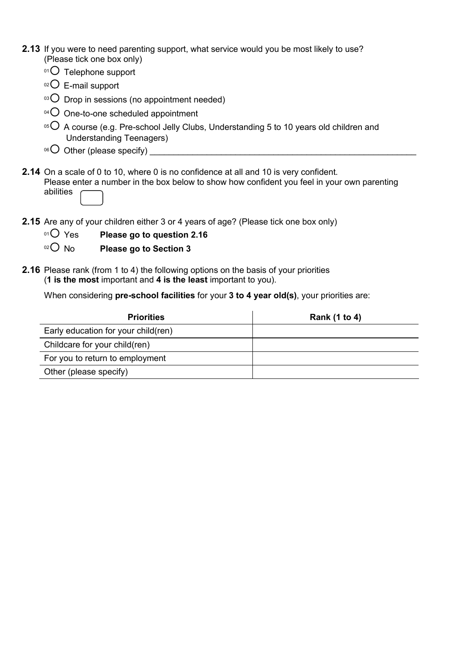- **2.13** If you were to need parenting support, what service would you be most likely to use? (Please tick one box only)
	- $01$  Telephone support
	- $02$  E-mail support
	- $\,^{\circ}$  Drop in sessions (no appointment needed)
	- $04$  One-to-one scheduled appointment
	- $05$  A course (e.g. Pre-school Jelly Clubs, Understanding 5 to 10 years old children and Understanding Teenagers)
	- <sup>06</sup>¡ Other (please specify) \_\_\_\_\_\_\_\_\_\_\_\_\_\_\_\_\_\_\_\_\_\_\_\_\_\_\_\_\_\_\_\_\_\_\_\_\_\_\_\_\_\_\_\_\_\_\_\_\_\_\_\_\_\_\_\_
- **2.14** On a scale of 0 to 10, where 0 is no confidence at all and 10 is very confident. Please enter a number in the box below to show how confident you feel in your own parenting abilities
- **2.15** Are any of your children either 3 or 4 years of age? (Please tick one box only)
	- <sup>01</sup> $\bigcirc$  Yes Please go to question 2.16
	- <sup>02</sup> No **Please go to Section 3**
- **2.16** Please rank (from 1 to 4) the following options on the basis of your priorities (**1 is the most** important and **4 is the least** important to you).

When considering **pre-school facilities** for your **3 to 4 year old(s)**, your priorities are:

| <b>Priorities</b>                   | Rank (1 to 4) |
|-------------------------------------|---------------|
| Early education for your child(ren) |               |
| Childcare for your child(ren)       |               |
| For you to return to employment     |               |
| Other (please specify)              |               |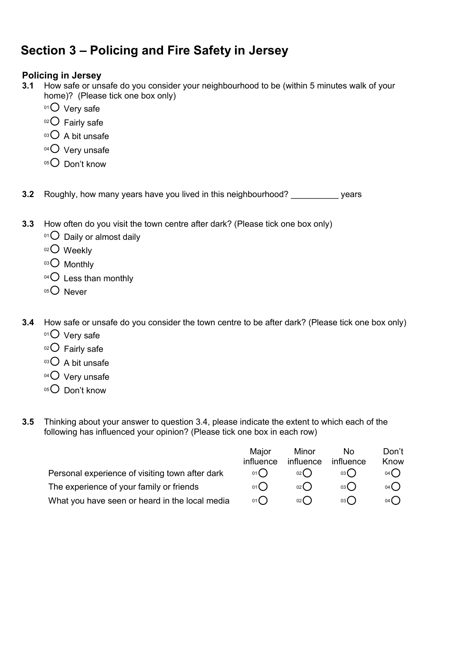# **Section 3 – Policing and Fire Safety in Jersey**

### **Policing in Jersey**

- **3.1** How safe or unsafe do you consider your neighbourhood to be (within 5 minutes walk of your home)? (Please tick one box only)
	- $01$  Very safe
	- $02$  Fairly safe
	- $03$  A bit unsafe
	- $04$  Very unsafe
	- 05<sup>O</sup> Don't know

**3.2** Roughly, how many years have you lived in this neighbourhood? \_\_\_\_\_\_\_\_\_\_ years

- **3.3** How often do you visit the town centre after dark? (Please tick one box only)
	- $01$  Daily or almost daily
	- $02$  Weekly
	- 03<sup>O</sup> Monthly
	- $04$  Less than monthly
	- $05$  Never
- **3.4** How safe or unsafe do you consider the town centre to be after dark? (Please tick one box only)
	- $01$  Very safe
	- $02$  Fairly safe
	- $03$  A bit unsafe
	- $04$  Very unsafe
	- $05$  Don't know
- **3.5** Thinking about your answer to question 3.4, please indicate the extent to which each of the following has influenced your opinion? (Please tick one box in each row)

|                                                 | Maior     | Minor      | No.       | Don't |
|-------------------------------------------------|-----------|------------|-----------|-------|
|                                                 | influence | influence  | influence | Know  |
| Personal experience of visiting town after dark | 01()      | $_{02}( )$ | 03()      | 04()  |
| The experience of your family or friends        | 01()      | $_{02}$ () | 03()      | 04()  |
| What you have seen or heard in the local media  | 01()      | $_{02}( )$ | 03()      | 04()  |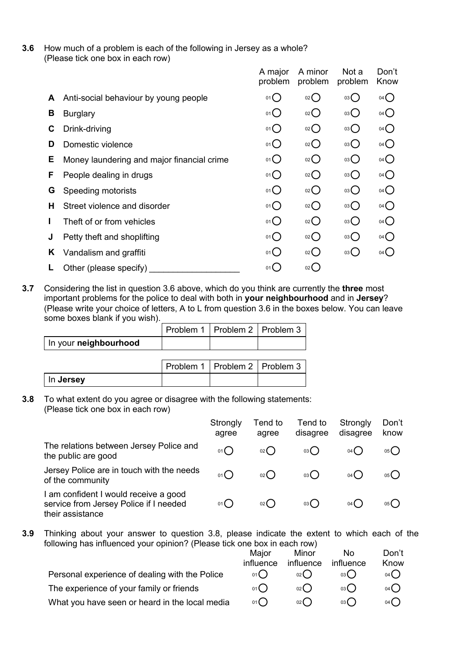**3.6** How much of a problem is each of the following in Jersey as a whole? (Please tick one box in each row)

|   |                                            | A major<br>problem | A minor<br>problem | Not a<br>problem | Don't<br>Know   |
|---|--------------------------------------------|--------------------|--------------------|------------------|-----------------|
| A | Anti-social behaviour by young people      | 01()               | $_{02}$ $\bigcirc$ | 03()             | $04$ $\bigcirc$ |
| В | <b>Burglary</b>                            | 01()               | 02                 | 03()             | $04$ $\bigcirc$ |
| С | Drink-driving                              | 01()               | $02$ $\bigcirc$    | 03()             | $04$ $\bigcirc$ |
| D | Domestic violence                          | 01()               | 02()               | 03()             | 04()            |
| Е | Money laundering and major financial crime | $01$ $\bigcirc$    | $02$ $\bigcirc$    | 03()             | $04$ $\bigcirc$ |
| F | People dealing in drugs                    | 01()               | 02                 | 03()             | $04$ $\bigcirc$ |
| G | Speeding motorists                         | 01()               | $02$ $\bigcirc$    | 03()             | 04()            |
| н | Street violence and disorder               | 01()               | 02                 | 03()             | $04$ $\bigcirc$ |
|   | Theft of or from vehicles                  | $01$ $\bigcirc$    | 02                 | 03()             | $04$ $\bigcirc$ |
| J | Petty theft and shoplifting                | 01()               | 02                 | 03()             | 04()            |
| K | Vandalism and graffiti                     | 01()               | $_{02}()$          | 03()             | 04()            |
|   | Other (please specify)                     | 01()               | 02()               |                  |                 |

**3.7** Considering the list in question 3.6 above, which do you think are currently the **three** most important problems for the police to deal with both in **your neighbourhood** and in **Jersey**? (Please write your choice of letters, A to L from question 3.6 in the boxes below. You can leave some boxes blank if you wish).

|                       | Problem 1   Problem 2   Problem 3 |  |
|-----------------------|-----------------------------------|--|
| In your neighbourhood |                                   |  |

|           | Problem 1   Problem 2   Problem 3 |  |
|-----------|-----------------------------------|--|
| In Jersey |                                   |  |

**3.8** To what extent do you agree or disagree with the following statements: (Please tick one box in each row)

|                                                                                                     | Strongly<br>agree | Tend to<br>agree    | Tend to<br>disagree | Strongly<br>disagree | Don't<br>know |
|-----------------------------------------------------------------------------------------------------|-------------------|---------------------|---------------------|----------------------|---------------|
| The relations between Jersey Police and<br>the public are good                                      | 01()              | $02$ $\binom{1}{2}$ | 03()                | $04$ (               | 05(           |
| Jersey Police are in touch with the needs<br>of the community                                       | 01()              | 02()                | 03()                | $04$ (               | 05(           |
| I am confident I would receive a good<br>service from Jersey Police if I needed<br>their assistance | 01()              | 02()                | 03()                | $04$ (               | 05(           |

**3.9** Thinking about your answer to question 3.8, please indicate the extent to which each of the following has influenced your opinion? (Please tick one box in each row)

|                                                | Maior     | Minor      | Nο        | Don't               |
|------------------------------------------------|-----------|------------|-----------|---------------------|
|                                                | influence | influence  | influence | Know                |
| Personal experience of dealing with the Police | 01()      | 02()       | 03( )     | 04()                |
| The experience of your family or friends       | 01()      | $_{02}( )$ | 03( )     | 04()                |
| What you have seen or heard in the local media | 01()      | $_{02}$ () | 03(       | $04$ $\binom{1}{2}$ |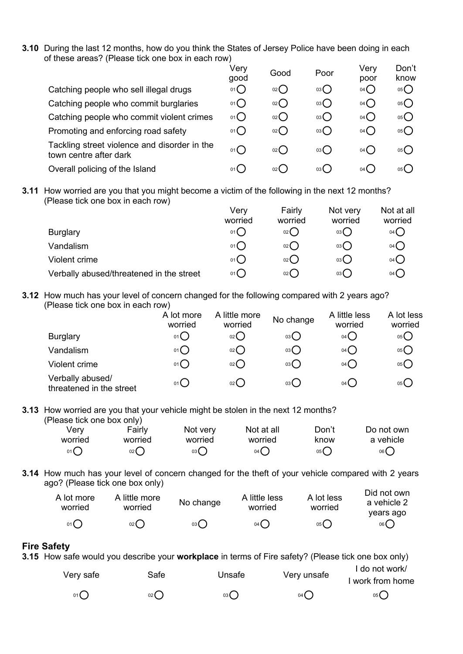**3.10** During the last 12 months, how do you think the States of Jersey Police have been doing in each of these areas? (Please tick one box in each row)

|                                                                        | Very<br>good      | Good | Poor         | Very<br>poor        | Don't<br>know |
|------------------------------------------------------------------------|-------------------|------|--------------|---------------------|---------------|
| Catching people who sell illegal drugs                                 | $01$ <sup>O</sup> | 02() | $03\bigcirc$ | $04$ $\bigcap$      | 05            |
| Catching people who commit burglaries                                  | $01$ $\bigcirc$   | 02() | 03           | 04()                | 05            |
| Catching people who commit violent crimes                              | 01()              | 02() | 03           | $04$ $\binom{1}{2}$ | 05()          |
| Promoting and enforcing road safety                                    | 01()              | 02() | 03           | $04$ ()             | 05            |
| Tackling street violence and disorder in the<br>town centre after dark | 01(               | 02() | 03()         | $04$ (              | 05()          |
| Overall policing of the Island                                         | $01$ (            | 02() | 03()         | $04$ (              | 05()          |
|                                                                        |                   |      |              |                     |               |

**3.11** How worried are you that you might become a victim of the following in the next 12 months? (Please tick one box in each row)

|                                          | Very           | Fairly  | Not very        | Not at all      |
|------------------------------------------|----------------|---------|-----------------|-----------------|
|                                          | worried        | worried | worried         | worried         |
| <b>Burglary</b>                          | 01C            | 02()    | 03 <sup>o</sup> | 04 <sub>o</sub> |
| Vandalism                                | $01$ $C$       | 02()    | 03()            | $04$ $\bigcirc$ |
| Violent crime                            | 01C            | 02()    | 03()            | $04$ $\bigcirc$ |
| Verbally abused/threatened in the street | $01$ $\bigcap$ | 02()    | 03()            | $04$ $\left($   |

**3.12** How much has your level of concern changed for the following compared with 2 years ago? (Please tick one box in each row)

|                                              | A lot more<br>worried | Iittle more<br>А<br>worried | No change | A little less<br>worried | A lot less<br>worried |
|----------------------------------------------|-----------------------|-----------------------------|-----------|--------------------------|-----------------------|
| <b>Burglary</b>                              | $01$ <sup>O</sup>     | O(2)                        | 03()      | $04$ $\bigcirc$          | 05 <sub>0</sub>       |
| Vandalism                                    | 01                    | O(2)                        | 03        | $04$ $\bigcirc$          | 05                    |
| Violent crime                                | 01O                   | $02$ $\bigcirc$             | 03        | 04()                     | 05                    |
| Verbally abused/<br>threatened in the street | $01$ <sup>O</sup>     | $02$ $\bigcirc$             | 03()      | 04()                     | 05()                  |

**3.13** How worried are you that your vehicle might be stolen in the next 12 months? (Please tick one box only)

| Verv    | Fairly  | Not very     | Not at all | Don't | Do not own |
|---------|---------|--------------|------------|-------|------------|
| worried | worried | worried      | worried    | know  | a vehicle  |
| 01()    | 02      | $03\bigcirc$ | 04()       | 05()  | 06()       |

**3.14** How much has your level of concern changed for the theft of your vehicle compared with 2 years ago? (Please tick one box only)  $Did$  not  $d$ 

| A lot more<br>worried | A little more<br>worried | No change | A little less<br>worried | A lot less<br>worried | -Dia not own<br>a vehicle 2<br>vears ago |
|-----------------------|--------------------------|-----------|--------------------------|-----------------------|------------------------------------------|
| 01()                  | $_{02}()$                | 03()      | 04()                     | 05()                  | 06()                                     |

#### **Fire Safety**

**3.15** How safe would you describe your **workplace** in terms of Fire safety? (Please tick one box only)

| Very safe | Safe   | Unsafe | Very unsafe | I do not work/<br>I work from home |
|-----------|--------|--------|-------------|------------------------------------|
| 01        | $02$ ( | 03     | 04(         | 05(                                |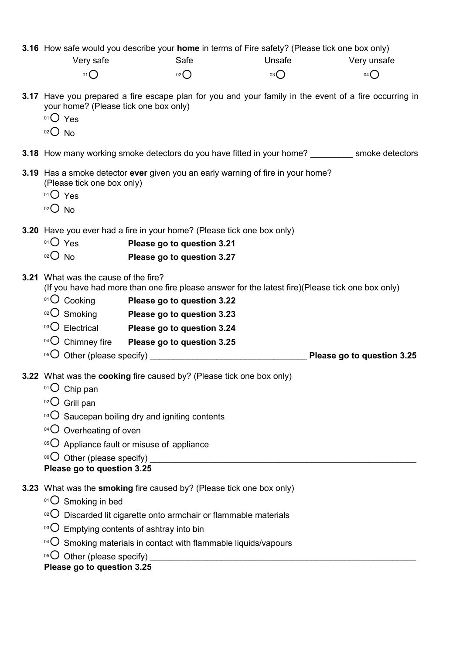**3.16** How safe would you describe your **home** in terms of Fire safety? (Please tick one box only)

| Very safe       | Safe    | Unsafe | Very unsafe |
|-----------------|---------|--------|-------------|
| 01 <sup>0</sup> | $_{02}$ | 03()   | 04          |

- **3.17** Have you prepared a fire escape plan for you and your family in the event of a fire occurring in your home? (Please tick one box only)
	- $01O$  Yes
	- $02$  No
- **3.18** How many working smoke detectors do you have fitted in your home? Smoke detectors
- **3.19** Has a smoke detector **ever** given you an early warning of fire in your home? (Please tick one box only)
	- $01O$  Yes
	- $02$  No

**3.20** Have you ever had a fire in your home? (Please tick one box only)

- <sup>01</sup>◯ Yes **Please go to question 3.21**<br><sup>02</sup>◯ N∩ Please go to question 3.27
- Please go to question 3.27
- **3.21** What was the cause of the fire?

(If you have had more than one fire please answer for the latest fire)(Please tick one box only)

- <sup>01</sup>¡ Cooking **Please go to question 3.22**
- <sup>02</sup>¡ Smoking **Please go to question 3.23**
- <sup>03</sup> $\bigcirc$  Electrical **Please go to question 3.24**
- 04<sup>O</sup> Chimney fire **Please go to question 3.25**
- $^{05}$  $\bigcirc$  Other (please specify)  $^{05}$   $\bigcirc$  **Please go to question 3.25**
- **3.22** What was the **cooking** fire caused by? (Please tick one box only)
	- $01$  Chip pan
	- $02$  Grill pan
	- $103$  Saucepan boiling dry and igniting contents
	- $04\bigcirc$  Overheating of oven
	- $05$  Appliance fault or misuse of appliance
	- $\circ$ <sup> $\circ$ </sup>O Other (please specify)

## **Please go to question 3.25**

- **3.23** What was the **smoking** fire caused by? (Please tick one box only)
	- $01^\circ$  Smoking in bed
	- $102$  Discarded lit cigarette onto armchair or flammable materials
	- $\log$  Emptying contents of ashtray into bin
	- $04$  Smoking materials in contact with flammable liquids/vapours
	- $105$  Other (please specify)

## **Please go to question 3.25**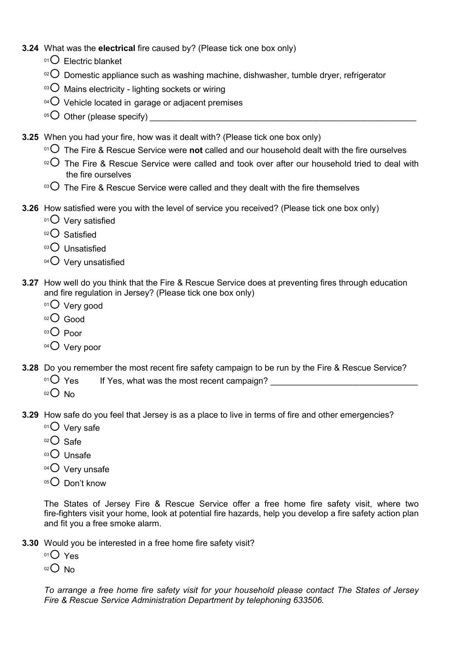- **3.24** What was the **electrical** fire caused by? (Please tick one box only)
	- $01$  Electric blanket
	- <sup>02</sup> Domestic appliance such as washing machine, dishwasher, tumble dryer, refrigerator
	- $03$  Mains electricity lighting sockets or wiring
	- $04$  Vehicle located in garage or adjacent premises
	- <sup>05</sup>¡ Other (please specify) \_\_\_\_\_\_\_\_\_\_\_\_\_\_\_\_\_\_\_\_\_\_\_\_\_\_\_\_\_\_\_\_\_\_\_\_\_\_\_\_\_\_\_\_\_\_\_\_\_\_\_\_\_\_\_\_
- **3.25** When you had your fire, how was it dealt with? (Please tick one box only)
	- <sup>01</sup> The Fire & Rescue Service were not called and our household dealt with the fire ourselves
	- $102$  The Fire & Rescue Service were called and took over after our household tried to deal with the fire ourselves
	- $\degree$ <sup>03</sup> The Fire & Rescue Service were called and they dealt with the fire themselves
- **3.26** How satisfied were you with the level of service you received? (Please tick one box only)
	- $01$  Very satisfied
	- $02$  Satisfied
	- $03$  Unsatisfied
	- $04$  Very unsatisfied
- **3.27** How well do you think that the Fire & Rescue Service does at preventing fires through education and fire regulation in Jersey? (Please tick one box only)
	- $01$  Very good
	- 02<sup>O</sup> Good
	- $03$  Poor
	- 04<sup>O</sup> Very poor
- **3.28** Do you remember the most recent fire safety campaign to be run by the Fire & Rescue Service?
	- $^{01}$  $\rm{O}$  Yes If Yes, what was the most recent campaign?
	- $02O$  No
- **3.29** How safe do you feel that Jersey is as a place to live in terms of fire and other emergencies?
	- $01$  Very safe
	- $02$  Safe
	- 03<sup>O</sup> Unsafe
	- $04$  Very unsafe
	- $05$  Don't know

The States of Jersey Fire & Rescue Service offer a free home fire safety visit, where two fire-fighters visit your home, look at potential fire hazards, help you develop a fire safety action plan and fit you a free smoke alarm.

- **3.30** Would you be interested in a free home fire safety visit?
	- $01O$  Yes
	- $02$  No

*To arrange a free home fire safety visit for your household please contact The States of Jersey Fire & Rescue Service Administration Department by telephoning 633506.*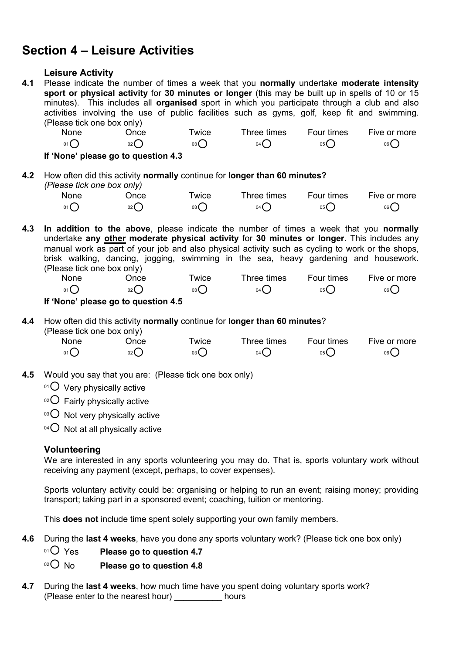# **Section 4 – Leisure Activities**

#### **Leisure Activity**

**4.1** Please indicate the number of times a week that you **normally** undertake **moderate intensity sport or physical activity** for **30 minutes or longer** (this may be built up in spells of 10 or 15 minutes). This includes all **organised** sport in which you participate through a club and also activities involving the use of public facilities such as gyms, golf, keep fit and swimming. (Please tick one box only)

| None    | <b>Jnce</b> | Twice | Three times | <b>Four times</b> | Five or more |
|---------|-------------|-------|-------------|-------------------|--------------|
| $_{01}$ | $02\left($  | 03(   | 04(         | 05 <sup>2</sup>   | 06 (         |

**If 'None' please go to question 4.3**

**4.2** How often did this activity **normally** continue for **longer than 60 minutes?** *(Please tick one box only)*

| None | Jnce | wice <sup>-</sup> | Three times       | <b>Four times</b> | Five or more |
|------|------|-------------------|-------------------|-------------------|--------------|
| 01   | 02(  | 03(               | $04$ <sup>(</sup> | 05(               | 06(          |

**4.3 In addition to the above**, please indicate the number of times a week that you **normally** undertake **any other moderate physical activity** for **30 minutes or longer.** This includes any manual work as part of your job and also physical activity such as cycling to work or the shops, brisk walking, dancing, jogging, swimming in the sea, heavy gardening and housework. (Please tick one box only)

| None | ⊃nce   | <b>Wice</b> | Three times | Four times | Five or more |
|------|--------|-------------|-------------|------------|--------------|
| 01C  | $02$ ( | 03 (        | 04 (        | 05(        | 06           |

#### **If 'None' please go to question 4.5**

#### **4.4** How often did this activity **normally** continue for **longer than 60 minutes**? (Please tick one box only)

| None                                 | ⊃nce            | wice            | Three times     | Four times      | Five or more |
|--------------------------------------|-----------------|-----------------|-----------------|-----------------|--------------|
| $01$ <sup><math>\bigcap</math></sup> | 02 <sub>0</sub> | 03 <sup>°</sup> | 04 <sub>0</sub> | 05 <sup>°</sup> | 06           |

- **4.5** Would you say that you are: (Please tick one box only)
	- $01$  Very physically active
	- $02$  Fairly physically active
	- $03$  Not very physically active
	- $04$  Not at all physically active

### **Volunteering**

We are interested in any sports volunteering you may do. That is, sports voluntary work without receiving any payment (except, perhaps, to cover expenses).

Sports voluntary activity could be: organising or helping to run an event; raising money; providing transport; taking part in a sponsored event; coaching, tuition or mentoring.

This **does not** include time spent solely supporting your own family members.

**4.6** During the **last 4 weeks**, have you done any sports voluntary work? (Please tick one box only)

<sup>01</sup> $\overline{O}$  Yes **Please go to question 4.7** 

### 02<sup>O</sup> No **Please go to question 4.8**

**4.7** During the **last 4 weeks**, how much time have you spent doing voluntary sports work? (Please enter to the nearest hour) \_\_\_\_\_\_\_\_\_\_ hours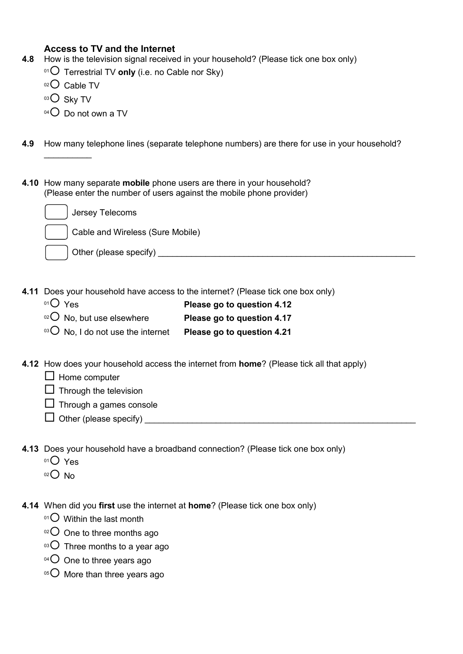### **Access to TV and the Internet**

- **4.8** How is the television signal received in your household? (Please tick one box only)
	- <sup>01</sup> O Terrestrial TV only (i.e. no Cable nor Sky)
	- $02$  Cable TV
	- 03<sup>O</sup> Sky TV

 $\overline{\phantom{a}}$ 

- $04$  Do not own a TV
- **4.9** How many telephone lines (separate telephone numbers) are there for use in your household?
- **4.10** How many separate **mobile** phone users are there in your household? (Please enter the number of users against the mobile phone provider)

| Jersey Telecoms        |                                  |  |
|------------------------|----------------------------------|--|
|                        | Cable and Wireless (Sure Mobile) |  |
| Other (please specify) |                                  |  |

- **4.11** Does your household have access to the internet? (Please tick one box only)
	- <sup>01</sup>○ Yes **Please go to question 4.12**
	- <sup>02</sup> No, but use elsewhere **Please go to question 4.17**
	- <sup>03</sup> No, I do not use the internet **Please go to question 4.21**
- **4.12** How does your household access the internet from **home**? (Please tick all that apply)
	- $\Box$  Home computer
	- $\Box$  Through the television
	- $\Box$  Through a games console
	- $\Box$  Other (please specify)
- **4.13** Does your household have a broadband connection? (Please tick one box only)
	- $O<sub>1</sub>O<sub>Yes</sub>$
	- $02$  No
- **4.14** When did you **first** use the internet at **home**? (Please tick one box only)
	- $01$  Within the last month
	- $02$  One to three months ago
	- $\circ$ <sup>3</sup>O Three months to a year ago
	- $04\text{O}$  One to three years ago
	- 05<sup>O</sup> More than three years ago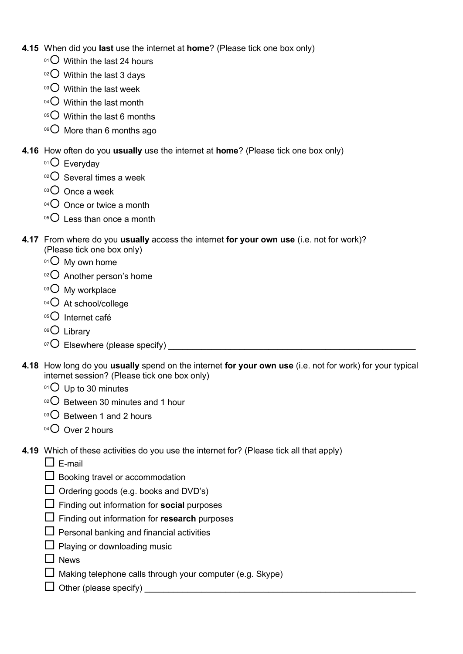- **4.15** When did you **last** use the internet at **home**? (Please tick one box only)
	- $01$  Within the last 24 hours
	- $02$  Within the last 3 days
	- $03$  Within the last week
	- $04\bigcirc$  Within the last month
	- $05^\circ$  Within the last 6 months
	- $06$  More than 6 months ago
- **4.16** How often do you **usually** use the internet at **home**? (Please tick one box only)
	- $01$  Everyday
	- $02$  Several times a week
	- $03$  Once a week
	- $04\bigcirc$  Once or twice a month
	- $05$  Less than once a month
- **4.17** From where do you **usually** access the internet **for your own use** (i.e. not for work)? (Please tick one box only)
	- $01<sup>01</sup>$  My own home
	- $02$  Another person's home
	- $03$  My workplace
	- $04$  At school/college
	- $05$  Internet café
	- 06<sup>O</sup> Library
	- <sup>07</sup>¡ Elsewhere (please specify) \_\_\_\_\_\_\_\_\_\_\_\_\_\_\_\_\_\_\_\_\_\_\_\_\_\_\_\_\_\_\_\_\_\_\_\_\_\_\_\_\_\_\_\_\_\_\_\_\_\_\_\_
- **4.18** How long do you **usually** spend on the internet **for your own use** (i.e. not for work) for your typical internet session? (Please tick one box only)
	- $01$  Up to 30 minutes
	- $02$  Between 30 minutes and 1 hour
	- $03$  Between 1 and 2 hours
	- $04$  Over 2 hours
- **4.19** Which of these activities do you use the internet for? (Please tick all that apply)
	- $\square$  E-mail
	- $\square$  Booking travel or accommodation
	- $\Box$  Ordering goods (e.g. books and DVD's)
	- $\Box$  Finding out information for **social** purposes
	- □ Finding out information for **research** purposes
	- $\Box$  Personal banking and financial activities
	- $\Box$  Playing or downloading music
	- $\Box$  News
	- $\Box$  Making telephone calls through your computer (e.g. Skype)
	- $\Box$  Other (please specify)  $\_\_$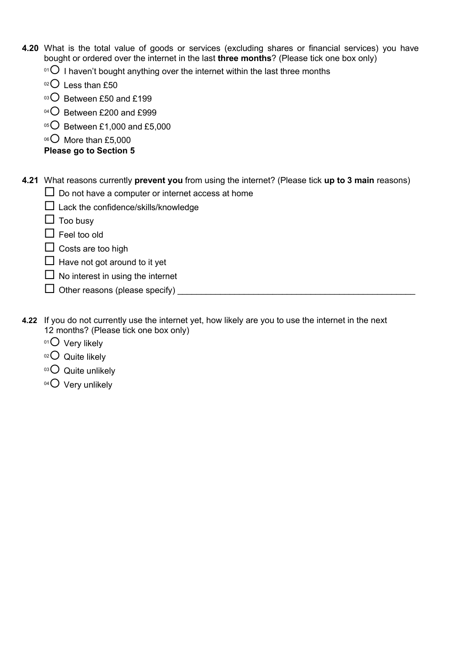- **4.20** What is the total value of goods or services (excluding shares or financial services) you have bought or ordered over the internet in the last **three months**? (Please tick one box only)
	- $01$  I haven't bought anything over the internet within the last three months
	- $02$  Less than £50
	- $03$  Between £50 and £199
	- 04<sup>O</sup> Between £200 and £999
	- $05$  Between £1,000 and £5,000
	- $06$  More than £5,000

### **Please go to Section 5**

**4.21** What reasons currently **prevent you** from using the internet? (Please tick **up to 3 main** reasons)

- $\square$  Do not have a computer or internet access at home
- $\square$  Lack the confidence/skills/knowledge
- $\Box$  Too busy
- $\square$  Feel too old
- $\square$  Costs are too high
- $\Box$  Have not got around to it yet
- $\Box$  No interest in using the internet
- $\Box$  Other reasons (please specify)  $\Box$
- **4.22** If you do not currently use the internet yet, how likely are you to use the internet in the next 12 months? (Please tick one box only)
	- $01$  Very likely
	- $02$  Quite likely
	- $03$  Quite unlikely
	- $04$  Very unlikely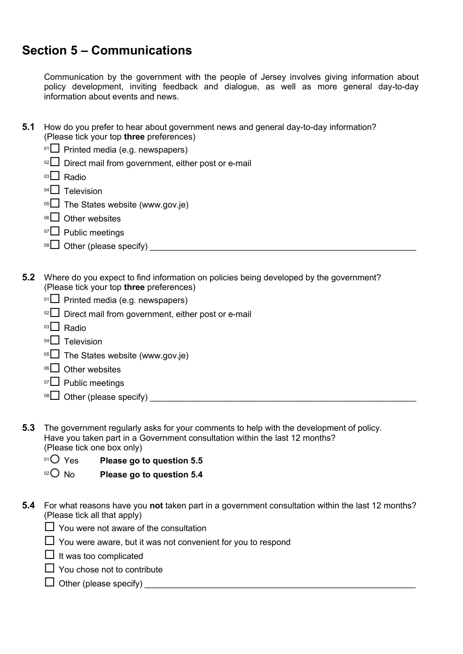# **Section 5 – Communications**

Communication by the government with the people of Jersey involves giving information about policy development, inviting feedback and dialogue, as well as more general day-to-day information about events and news.

- **5.1** How do you prefer to hear about government news and general day-to-day information? (Please tick your top **three** preferences)
	- $01$  Printed media (e.g. newspapers)
	- $10^{2}$  Direct mail from government, either post or e-mail
	- <sup>03</sup>□ Radio
	- $04$  Television
	- $05$  The States website (www.gov.je)
	- $06$  Other websites
	- $07$  Public meetings
	- <sup>08</sup>¨ Other (please specify) \_\_\_\_\_\_\_\_\_\_\_\_\_\_\_\_\_\_\_\_\_\_\_\_\_\_\_\_\_\_\_\_\_\_\_\_\_\_\_\_\_\_\_\_\_\_\_\_\_\_\_\_\_\_\_\_
- **5.2** Where do you expect to find information on policies being developed by the government? (Please tick your top **three** preferences)
	- $01$  Printed media (e.g. newspapers)
	- $02$  Direct mail from government, either post or e-mail
	- $03$  Radio
	- $04$  Television
	- $05$  The States website (www.gov.je)
	- $06$  Other websites
	- <sup>07</sup>□ Public meetings
	- <sup>08</sup>¨ Other (please specify) \_\_\_\_\_\_\_\_\_\_\_\_\_\_\_\_\_\_\_\_\_\_\_\_\_\_\_\_\_\_\_\_\_\_\_\_\_\_\_\_\_\_\_\_\_\_\_\_\_\_\_\_\_\_\_\_
- **5.3** The government regularly asks for your comments to help with the development of policy. Have you taken part in a Government consultation within the last 12 months? (Please tick one box only)
	- <sup>01</sup> $\bigcirc$  Yes Please go to question 5.5
	- <sup>02</sup> No **Please go to question 5.4**
- **5.4** For what reasons have you **not** taken part in a government consultation within the last 12 months? (Please tick all that apply)
	- $\Box$  You were not aware of the consultation
	- $\Box$  You were aware, but it was not convenient for you to respond
	- $\Box$  It was too complicated
	- $\Box$  You chose not to contribute
	- ¨ Other (please specify) \_\_\_\_\_\_\_\_\_\_\_\_\_\_\_\_\_\_\_\_\_\_\_\_\_\_\_\_\_\_\_\_\_\_\_\_\_\_\_\_\_\_\_\_\_\_\_\_\_\_\_\_\_\_\_\_\_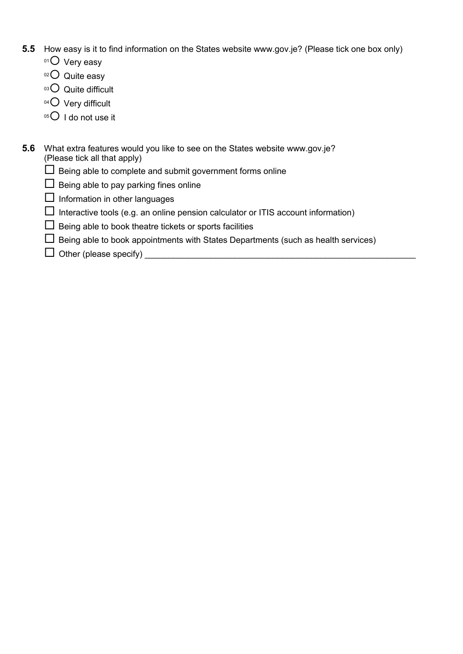- **5.5** How easy is it to find information on the States website www.gov.je? (Please tick one box only)
	- $01$  Very easy
	- $02$  Quite easy
	- $03$  Quite difficult
	- $04$  Very difficult
	- $05$  I do not use it
- **5.6** What extra features would you like to see on the States website www.gov.je? (Please tick all that apply)
	- $\Box$  Being able to complete and submit government forms online
	- $\Box$  Being able to pay parking fines online
	- $\Box$  Information in other languages
	- $\Box$  Interactive tools (e.g. an online pension calculator or ITIS account information)
	- $\Box$  Being able to book theatre tickets or sports facilities
	- $\Box$  Being able to book appointments with States Departments (such as health services)
	- $\Box$  Other (please specify)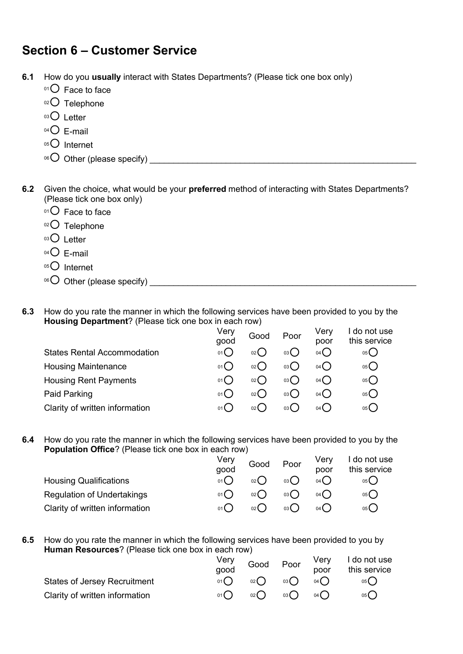# **Section 6 – Customer Service**

**6.1** How do you **usually** interact with States Departments? (Please tick one box only)

- $01$  Face to face
- 02<sup>O</sup> Telephone
- 03<sup>O</sup> Letter
- $04$  E-mail
- $05$  Internet
- <sup>06</sup>¡ Other (please specify) \_\_\_\_\_\_\_\_\_\_\_\_\_\_\_\_\_\_\_\_\_\_\_\_\_\_\_\_\_\_\_\_\_\_\_\_\_\_\_\_\_\_\_\_\_\_\_\_\_\_\_\_\_\_\_\_

**6.2** Given the choice, what would be your **preferred** method of interacting with States Departments? (Please tick one box only)

- $01$  Face to face
- 02<sup>O</sup> Telephone
- $03$  Letter
- $04$  F-mail
- $05$  Internet
- <sup>06</sup>¡ Other (please specify) \_\_\_\_\_\_\_\_\_\_\_\_\_\_\_\_\_\_\_\_\_\_\_\_\_\_\_\_\_\_\_\_\_\_\_\_\_\_\_\_\_\_\_\_\_\_\_\_\_\_\_\_\_\_\_\_

#### **6.3** How do you rate the manner in which the following services have been provided to you by the **Housing Department**? (Please tick one box in each row)

|                                    | Very<br>good                              | Good | Poor  | Very<br>poor | do not use<br>this service |
|------------------------------------|-------------------------------------------|------|-------|--------------|----------------------------|
| <b>States Rental Accommodation</b> | $01$ <sup><math>\sim</math></sup>         | 02() | 03 (  | 04()         | 05 (                       |
| <b>Housing Maintenance</b>         | 01                                        | 02() | 03( ) | 04()         | 05 (                       |
| <b>Housing Rent Payments</b>       | $01$ <sup><math>\blacksquare</math></sup> | 02() | 03()  | 04()         | 05 (                       |
| Paid Parking                       | $01$ (                                    | 02() | 03( ) | 04()         | 05 (                       |
| Clarity of written information     | $01$ (                                    | 02() | 03 (  | 04( )        | 05 <b>(</b>                |

#### **6.4** How do you rate the manner in which the following services have been provided to you by the **Population Office**? (Please tick one box in each row)

|                                   | Very<br>good | Good       | Poor | Verv<br>poor | I do not use<br>this service |
|-----------------------------------|--------------|------------|------|--------------|------------------------------|
| <b>Housing Qualifications</b>     | 01()         | $_{02}( )$ | 03() | 04()         | 05()                         |
| <b>Regulation of Undertakings</b> |              | $_{02}( )$ | 03() | 04()         | 05(                          |
| Clarity of written information    | 01()         | $_{02}( )$ | 03() | 04()         | 05 <b>(</b>                  |

**6.5** How do you rate the manner in which the following services have been provided to you by **Human Resources**? (Please tick one box in each row)

|                                     | Very | Good                       | Poor |      | Very I do not use |
|-------------------------------------|------|----------------------------|------|------|-------------------|
|                                     | good |                            |      | poor | this service      |
| <b>States of Jersey Recruitment</b> | 01() | 02()                       | 03() | 04() | 05( )             |
| Clarity of written information      | 01() | $_{02}$ $\left($ $\right)$ | 03() | 04() | 05()              |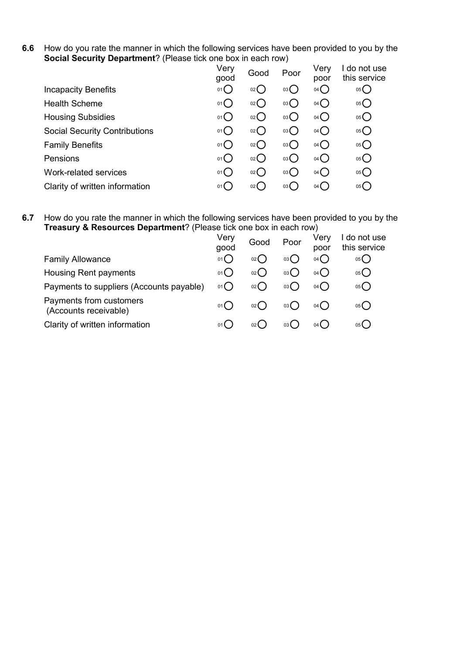**6.6** How do you rate the manner in which the following services have been provided to you by the **Social Security Department**? (Please tick one box in each row)

|                                      | Very<br>good        | Good   | Poor | Very<br>poor    | do not use<br>this service |
|--------------------------------------|---------------------|--------|------|-----------------|----------------------------|
| <b>Incapacity Benefits</b>           | $01$ $\blacksquare$ | $02$ ( | 03() | $04$ $\bigcirc$ | 05()                       |
| <b>Health Scheme</b>                 | $01$ (              | 02()   | 03() | 04()            | 05()                       |
| <b>Housing Subsidies</b>             | $01$ (              | 02()   | 03() | 04()            | 05()                       |
| <b>Social Security Contributions</b> | 01()                | 02()   | 03() | 04()            | 05()                       |
| <b>Family Benefits</b>               | 01()                | 02()   | 03() | 04()            | 05()                       |
| Pensions                             | $01$ (              | 02()   | 03() | 04()            | 05()                       |
| Work-related services                | 01()                | 02()   | 03() | 04()            | 05()                       |
| Clarity of written information       | $01$ (              | $02$ ( | 03 ( | 04( )           | 05(                        |

#### **6.7** How do you rate the manner in which the following services have been provided to you by the **Treasury & Resources Department**? (Please tick one box in each row)

| Very<br>good | Good   | Poor        | Very<br>poor | do not use<br>this service |
|--------------|--------|-------------|--------------|----------------------------|
| 01()         | $02$ ( | 03 (        | 04()         | 05()                       |
| $01($ )      | 02 (   | 03(         | 04( )        | 05()                       |
| 01()         | $02$ ( | 03(         | 04()         | 05()                       |
| 01()         | 02 C   | 03 <b>(</b> | 04()         | 05()                       |
| $01$ (       |        | 03 <b>(</b> | 04(          | 05(                        |
|              |        |             |              |                            |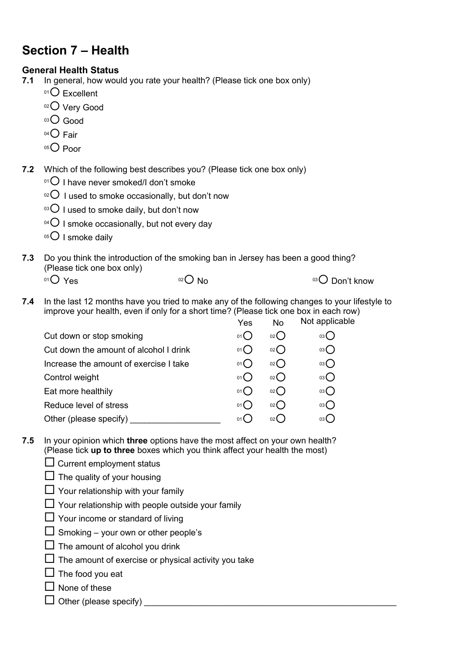# **Section 7 – Health**

# **General Health Status**<br>**7.1** In general, how wou

- **7.1** In general, how would you rate your health? (Please tick one box only)
	- $01$ <sup>O</sup> Excellent
	- 02<sup>O</sup> Very Good
	- $^{03}$  $O$  Good
	- $04$  Fair
	- $05$  Poor
- **7.2** Which of the following best describes you? (Please tick one box only)
	- $01$  I have never smoked/I don't smoke
	- $10^{2}$  I used to smoke occasionally, but don't now
	- $10^{3}$  I used to smoke daily, but don't now
	- $04$  I smoke occasionally, but not every day
	- $05$  I smoke daily
- **7.3** Do you think the introduction of the smoking ban in Jersey has been a good thing? (Please tick one box only)
	- $^{01}$   $\bigcirc$  Yes  $^{02}$  No  $^{03}$  Don't know

**7.4** In the last 12 months have you tried to make any of the following changes to your lifestyle to improve your health, even if only for a short time? (Please tick one box in each row) nlicable

|                                        | Yes           | No   | <b>NOT Applica</b> |
|----------------------------------------|---------------|------|--------------------|
| Cut down or stop smoking               | $01$ $\left($ | 02() | 03()               |
| Cut down the amount of alcohol I drink | 01()          | 02() | 03                 |
| Increase the amount of exercise I take | 01()          | 02() | 03                 |
| Control weight                         | $01$ (        | 02() | $03$ $\bigcirc$    |
| Eat more healthily                     | 01()          | 02() | 03()               |
| Reduce level of stress                 | 01()          | 02() | 03()               |
| Other (please specify)                 | 01 L          | 02(  | 03 <b>(</b>        |
|                                        |               |      |                    |

- **7.5** In your opinion which **three** options have the most affect on your own health? (Please tick **up to three** boxes which you think affect your health the most)
	- $\square$  Current employment status
	- $\square$  The quality of your housing
	- $\Box$  Your relationship with your family
	- $\Box$  Your relationship with people outside your family
	- $\Box$  Your income or standard of living
	- $\square$  Smoking your own or other people's
	- $\Box$  The amount of alcohol you drink
	- $\square$  The amount of exercise or physical activity you take
	- $\Box$  The food you eat
	- $\Box$  None of these
	- $\Box$  Other (please specify)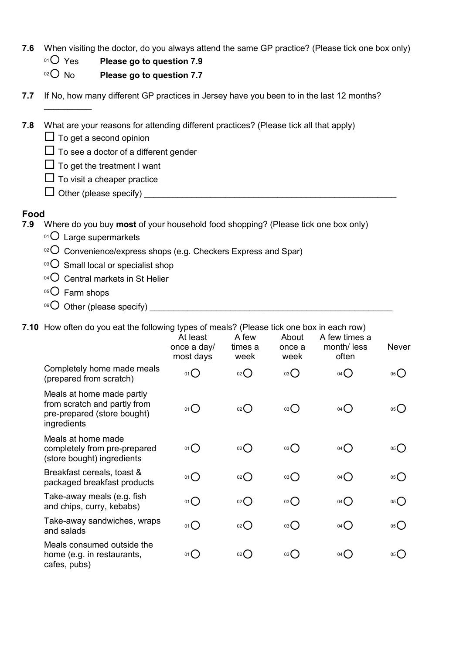- **7.6** When visiting the doctor, do you always attend the same GP practice? (Please tick one box only)
	- <sup>01</sup>○ Yes **Please go to question 7.9**<br><sup>02</sup>○ No **Please go to question 7.7** 
		- Please go to question 7.7

| 7.7         | If No, how many different GP practices in Jersey have you been to in the last 12 months? |
|-------------|------------------------------------------------------------------------------------------|
|             |                                                                                          |
| 7.8         | What are your reasons for attending different practices? (Please tick all that apply)    |
|             | $\Box$ To get a second opinion                                                           |
|             | To see a doctor of a different gender                                                    |
|             | $\Box$ To get the treatment I want                                                       |
|             | To visit a cheaper practice                                                              |
|             | Other (please specify)                                                                   |
|             |                                                                                          |
| Food<br>7.9 | Where do you buy <b>most</b> of your household food shopping? (Please tick one box only) |
|             | $01$ Large supermarkets                                                                  |
|             | $\rm{18}^{\circ}$ Convenience/express shops (e.g. Checkers Express and Spar)             |
|             | <sup>03</sup> Small local or specialist shop                                             |
|             | 04 $\bigcirc$ Central markets in St Helier                                               |
|             | $05$ Farm shops                                                                          |
|             | <sup>06</sup> $\bigcirc$ Other (please specify)                                          |

**7.10** How often do you eat the following types of meals? (Please tick one box in each row)

|                                                                                                         | At least<br>once a day/<br>most days | A few<br>times a<br>week | About<br>once a<br>week | A few times a<br>month/ less<br>often | <b>Never</b> |
|---------------------------------------------------------------------------------------------------------|--------------------------------------|--------------------------|-------------------------|---------------------------------------|--------------|
| Completely home made meals<br>(prepared from scratch)                                                   | $01$ $\bigcirc$                      | $_{02}$ $\bigcirc$       | 03                      | 04()                                  | 05           |
| Meals at home made partly<br>from scratch and partly from<br>pre-prepared (store bought)<br>ingredients | 01()                                 | O(2C)                    | 03                      | 04()                                  | 05()         |
| Meals at home made<br>completely from pre-prepared<br>(store bought) ingredients                        | 01                                   | $_{02}$ $\bigcirc$       | $03\bigcirc$            | $04$ $\bigcirc$                       | 05           |
| Breakfast cereals, toast &<br>packaged breakfast products                                               | $01$ $\bigcirc$                      | 02                       | 03                      | 04()                                  | 05()         |
| Take-away meals (e.g. fish<br>and chips, curry, kebabs)                                                 | 01()                                 | 02                       | 03                      | 04()                                  | 05()         |
| Take-away sandwiches, wraps<br>and salads                                                               | 01                                   | $_{02}$ $\bigcirc$       | $03\bigcirc$            | 04()                                  | 05           |
| Meals consumed outside the<br>home (e.g. in restaurants,<br>cafes, pubs)                                | 01()                                 | $_{02}()$                | 03()                    | 04()                                  | 05()         |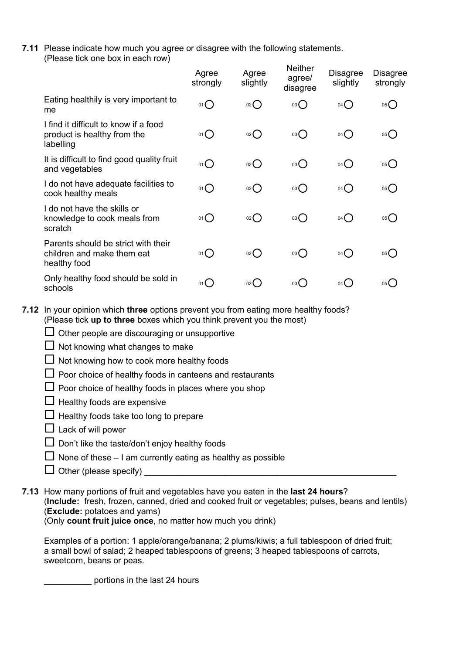**7.11** Please indicate how much you agree or disagree with the following statements. (Please tick one box in each row)

|                                                                                   | Agree<br>strongly | Agree<br>slightly | <b>Neither</b><br>agree/<br>disagree | <b>Disagree</b><br>slightly | <b>Disagree</b><br>strongly |
|-----------------------------------------------------------------------------------|-------------------|-------------------|--------------------------------------|-----------------------------|-----------------------------|
| Eating healthily is very important to<br>me                                       | 01()              | 02                | $03\bigcirc$                         | $04$ $\bigcirc$             | 05()                        |
| I find it difficult to know if a food<br>product is healthy from the<br>labelling | 01()              | 02                | $03$ $\bigcirc$                      | $04$ $\bigcirc$             | 05()                        |
| It is difficult to find good quality fruit<br>and vegetables                      | 01()              | O(2C)             | $03\bigcirc$                         | $04$ $\bigcirc$             | 05()                        |
| I do not have adequate facilities to<br>cook healthy meals                        | $01$ $\bigcirc$   | $_{02}O$          | $03\bigcirc$                         | $04$ $\bigcirc$             | 05()                        |
| I do not have the skills or<br>knowledge to cook meals from<br>scratch            | 01()              | 02                | 03                                   | $04$ $\bigcirc$             | 05()                        |
| Parents should be strict with their<br>children and make them eat<br>healthy food | 01()              | $02$ $\bigcirc$   | 03()                                 | 04()                        | 05()                        |
| Only healthy food should be sold in<br>schools                                    | 01()              | 02()              | 03(                                  | $04$ (                      | 05 <b>(</b>                 |

**7.12** In your opinion which **three** options prevent you from eating more healthy foods? (Please tick **up to three** boxes which you think prevent you the most)

 $\square$  Other people are discouraging or unsupportive

 $\Box$  Not knowing what changes to make

 $\Box$  Not knowing how to cook more healthy foods

 $\Box$  Poor choice of healthy foods in canteens and restaurants

 $\Box$  Poor choice of healthy foods in places where you shop

 $\Box$  Healthy foods are expensive

 $\Box$  Healthy foods take too long to prepare

 $\Box$  Lack of will power

 $\square$  Don't like the taste/don't enjoy healthy foods

 $\Box$  None of these – I am currently eating as healthy as possible

 $\Box$  Other (please specify)  $\Box$ 

**7.13** How many portions of fruit and vegetables have you eaten in the **last 24 hours**? (**Include:** fresh, frozen, canned, dried and cooked fruit or vegetables; pulses, beans and lentils) (**Exclude:** potatoes and yams) (Only **count fruit juice once**, no matter how much you drink)

Examples of a portion: 1 apple/orange/banana; 2 plums/kiwis; a full tablespoon of dried fruit;

a small bowl of salad; 2 heaped tablespoons of greens; 3 heaped tablespoons of carrots, sweetcorn, beans or peas.

portions in the last 24 hours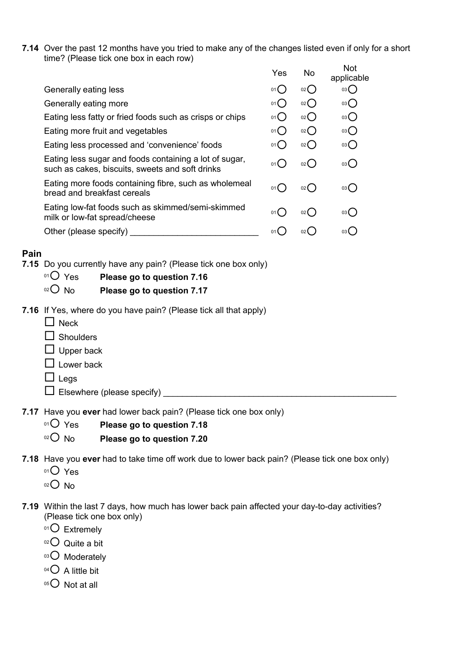**7.14** Over the past 12 months have you tried to make any of the changes listed even if only for a short time? (Please tick one box in each row)

|                                                                                                           | Yes                                       | No.             | <b>Not</b><br>applicable |
|-----------------------------------------------------------------------------------------------------------|-------------------------------------------|-----------------|--------------------------|
| Generally eating less                                                                                     | 01()                                      | 02()            | 03()                     |
| Generally eating more                                                                                     | 01()                                      | 02()            | 03()                     |
| Eating less fatty or fried foods such as crisps or chips                                                  | 01()                                      | 02()            | $03$ $\bigcirc$          |
| Eating more fruit and vegetables                                                                          | 01()                                      | 02()            | 03()                     |
| Eating less processed and 'convenience' foods                                                             | 01()                                      | 02()            | 03()                     |
| Eating less sugar and foods containing a lot of sugar,<br>such as cakes, biscuits, sweets and soft drinks | $01$ $\left($                             | 02()            | 03()                     |
| Eating more foods containing fibre, such as wholemeal<br>bread and breakfast cereals                      | $01$ (                                    | 02(             | 03(                      |
| Eating low-fat foods such as skimmed/semi-skimmed<br>milk or low-fat spread/cheese                        | $01$ <sup><math>\blacksquare</math></sup> | 02(             | 03(                      |
| Other (please specify)                                                                                    | 01                                        | 02 <sub>0</sub> | 03 C                     |
|                                                                                                           |                                           |                 |                          |

### **Pain**

- **7.15** Do you currently have any pain? (Please tick one box only)
	- <sup>01</sup>○ Yes **Please go to question 7.16**
	- <sup>02</sup> No **Please go to question 7.17**
- **7.16** If Yes, where do you have pain? (Please tick all that apply)
	- $\Box$  Neck
	- $\square$  Shoulders
	- $\square$  Upper back
	- $\Box$  Lower back
	- $\Box$  Legs
	- $\Box$  Elsewhere (please specify)

**7.17** Have you **ever** had lower back pain? (Please tick one box only)

- <sup>01</sup>¡ Yes **Please go to question 7.18**
- 02<sup>O</sup> No **Please go to question 7.20**
- **7.18** Have you **ever** had to take time off work due to lower back pain? (Please tick one box only)
	- $01O$  Yes
	- $02O$  No
- **7.19** Within the last 7 days, how much has lower back pain affected your day-to-day activities? (Please tick one box only)
	- $01$  Extremely
	- $02$  Quite a bit
	- 03<sup>O</sup> Moderately
	- $04$  A little bit
	- $05$  Not at all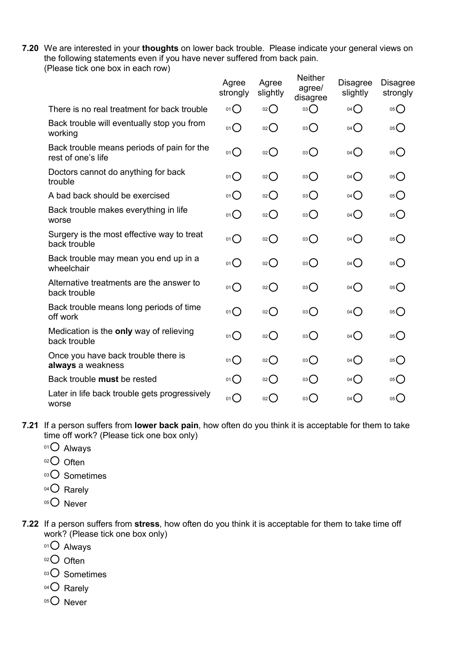**7.20** We are interested in your **thoughts** on lower back trouble. Please indicate your general views on the following statements even if you have never suffered from back pain. (Please tick one box in each row)

|                                                                  | Agree<br>strongly | Agree<br>slightly  | <b>Neither</b><br>agree/<br>disagree | <b>Disagree</b><br>slightly | <b>Disagree</b><br>strongly          |
|------------------------------------------------------------------|-------------------|--------------------|--------------------------------------|-----------------------------|--------------------------------------|
| There is no real treatment for back trouble                      | 01                | $_{02}$ $\bigcap$  | 03                                   | 04()                        | 05()                                 |
| Back trouble will eventually stop you from<br>working            | $01$ $\bigcirc$   | O(2)               | 03()                                 | 04()                        | $05$ <sup>O</sup>                    |
| Back trouble means periods of pain for the<br>rest of one's life | 01()              | $02$ $\bigcirc$    | 03()                                 | 04()                        | 05()                                 |
| Doctors cannot do anything for back<br>trouble                   | 01()              | $_{02}$ $\bigcirc$ | 03()                                 | 04()                        | 05()                                 |
| A bad back should be exercised                                   | 01()              | O(2C)              | 03                                   | $04$ $\bigcirc$             | 05                                   |
| Back trouble makes everything in life<br>worse                   | $01$ $\bigcirc$   | $02$ $\bigcirc$    | 03                                   | 04()                        | 05()                                 |
| Surgery is the most effective way to treat<br>back trouble       | 01()              | $02$ $\bigcirc$    | 03()                                 | 04()                        | 05()                                 |
| Back trouble may mean you end up in a<br>wheelchair              | 01()              | $_{02}$ $\bigcirc$ | 03()                                 | 04()                        | 05()                                 |
| Alternative treatments are the answer to<br>back trouble         | 01()              | $02$ $\bigcirc$    | 03                                   | $04$ $\bigcirc$             | 05()                                 |
| Back trouble means long periods of time<br>off work              | 01                | O(2C)              | 03                                   | $04$ $\bigcirc$             | $05$ <sup>O</sup>                    |
| Medication is the only way of relieving<br>back trouble          | 01()              | $02$ $\bigcirc$    | 03()                                 | 04()                        | 05                                   |
| Once you have back trouble there is<br>always a weakness         | 01()              | O(2C)              | 03                                   | $04$ $\bigcirc$             | $05$ <sup>O</sup>                    |
| Back trouble must be rested                                      | 01()              | $_{02}$ $\bigcirc$ | $03$ $\bigcirc$                      | 04()                        | 05()                                 |
| Later in life back trouble gets progressively<br>worse           | 01                | 02                 | 03()                                 | $04$ <sup>O</sup>           | $05$ <sup><math>\bigcap</math></sup> |

- **7.21** If a person suffers from **lower back pain**, how often do you think it is acceptable for them to take time off work? (Please tick one box only)
	- $01O$  Always
	- $02$  Often
	- 03<sup>O</sup> Sometimes
	- 04<sup>O</sup> Rarely
	- 05<sup>O</sup> Never
- **7.22** If a person suffers from **stress**, how often do you think it is acceptable for them to take time off work? (Please tick one box only)
	- $01$  Always
	- $02$  Often
	- 03<sup>O</sup> Sometimes
	- 04<sup>O</sup> Rarely
	- $05$  Never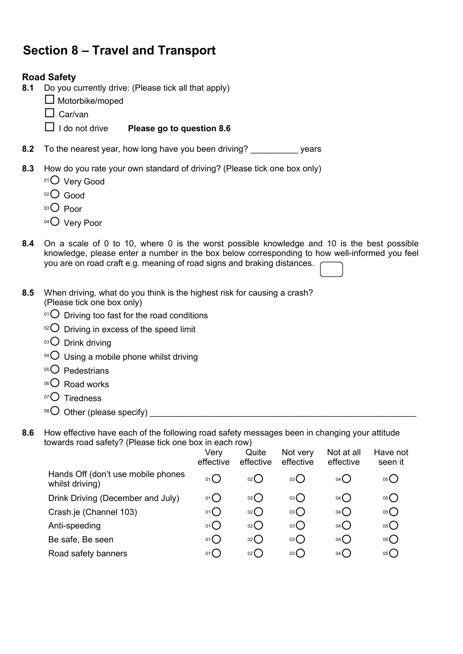# **Section 8 – Travel and Transport**

### **Road Safety**

- **8.1** Do you currently drive: (Please tick all that apply)
	- $\square$  Motorbike/moped
	- $\Box$  Car/van
	- ¨ I do not drive **Please go to question 8.6**
- **8.2** To the nearest year, how long have you been driving? \_\_\_\_\_\_\_\_\_\_ years
- **8.3** How do you rate your own standard of driving? (Please tick one box only)
	- 01<sup>O</sup> Very Good
	- $O$  Good
	- $03$  Poor
	- $04$  Very Poor
- **8.4** On a scale of 0 to 10, where 0 is the worst possible knowledge and 10 is the best possible knowledge, please enter a number in the box below corresponding to how well-informed you feel you are on road craft e.g. meaning of road signs and braking distances.
- **8.5** When driving, what do you think is the highest risk for causing a crash? (Please tick one box only)
	- $^{01}$  $\bigcirc$  Driving too fast for the road conditions
	- $02$  Driving in excess of the speed limit
	- $03$  Drink driving
	- $04$  Using a mobile phone whilst driving
	- 05<sup>O</sup> Pedestrians
	- 06<sup>O</sup> Road works
	- $07$  Tiredness
	- <sup>08</sup>¡ Other (please specify) \_\_\_\_\_\_\_\_\_\_\_\_\_\_\_\_\_\_\_\_\_\_\_\_\_\_\_\_\_\_\_\_\_\_\_\_\_\_\_\_\_\_\_\_\_\_\_\_\_\_\_\_\_\_\_\_
- **8.6** How effective have each of the following road safety messages been in changing your attitude towards road safety? (Please tick one box in each row)

|                                                       | Verv<br>effective | Quite<br>effective | Not very<br>effective | Not at all<br>effective | Have not<br>seen it |
|-------------------------------------------------------|-------------------|--------------------|-----------------------|-------------------------|---------------------|
| Hands Off (don't use mobile phones<br>whilst driving) | 01()              | 02()               | 03()                  | 04()                    | 05()                |
| Drink Driving (December and July)                     | 01()              | 02()               | 03()                  | 04()                    | 05()                |
| Crash.je (Channel 103)                                | 01()              | 02                 | 03                    | $04$ $\bigcirc$         | 05                  |
| Anti-speeding                                         | $01$ $\bigcirc$   | 02                 | 03                    | $04$ $\bigcirc$         | 05                  |
| Be safe, Be seen                                      | 01()              | 02                 | 03                    | 04()                    | 05                  |
| Road safety banners                                   | 01()              | 02()               | 03()                  | 04()                    | 05(                 |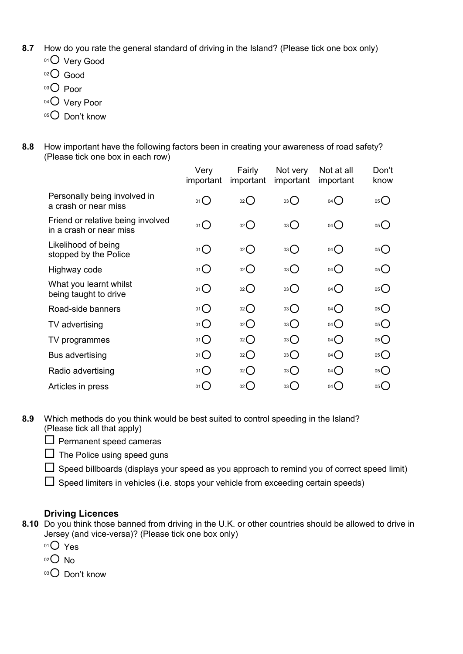- **8.7** How do you rate the general standard of driving in the Island? (Please tick one box only)
	- 01<sup>O</sup> Very Good
	- 02<sup>O</sup> Good
	- $03$  Poor
	- 04<sup>O</sup> Very Poor
	- $05$  Don't know
- **8.8** How important have the following factors been in creating your awareness of road safety? (Please tick one box in each row)

| Very<br>important | Fairly<br>important | Not very<br>important   | Not at all<br>important | Don't<br>know     |
|-------------------|---------------------|-------------------------|-------------------------|-------------------|
| $01$ $\bigcirc$   | 02()                | $03\bigcirc$            | $04$ $\bigcirc$         | 05                |
| 01()              | $02$ $\bigcirc$     | $03\bigcirc$            | $04$ $\bigcirc$         | 05                |
| 01()              | 02                  | $03\bigcirc$            | $04$ $\bigcirc$         | $05$ <sup>O</sup> |
| $01$ $\bigcirc$   | 02                  | $03$ $\bigcirc$         | $04$ $\bigcirc$         | 05                |
| $01$ $\bigcirc$   | 02                  | 03                      | $04$ $\bigcirc$         | 05                |
| 01()              | 02                  | $\overline{\mathrm{O}}$ | $04$ $\bigcirc$         | 05                |
| 01()              | O(2C)               | $03\bigcirc$            | $04$ $\bigcirc$         | 05                |
| 01()              | O(2C)               | $^{03}O$                | $04$ $\bigcirc$         | 05                |
| 01()              | O(2C)               | $^{03}O$                | $04$ $\bigcirc$         | 05                |
| $01$ $\bigcirc$   | 02                  | 03                      | $04$ $\bigcirc$         | 05                |
| 01()              | 02()                | 03 $\bigcirc$           | $04$ $\bigcirc$         | $05$ <sup>O</sup> |
|                   |                     |                         |                         |                   |

**8.9** Which methods do you think would be best suited to control speeding in the Island? (Please tick all that apply)

 $\square$  Permanent speed cameras

 $\Box$  The Police using speed guns

 $\Box$  Speed billboards (displays your speed as you approach to remind you of correct speed limit)

 $\Box$  Speed limiters in vehicles (i.e. stops your vehicle from exceeding certain speeds)

### **Driving Licences**

**8.10** Do you think those banned from driving in the U.K. or other countries should be allowed to drive in Jersey (and vice-versa)? (Please tick one box only)

 $01O$  Yes

 $02O$  No

03<sup>O</sup> Don't know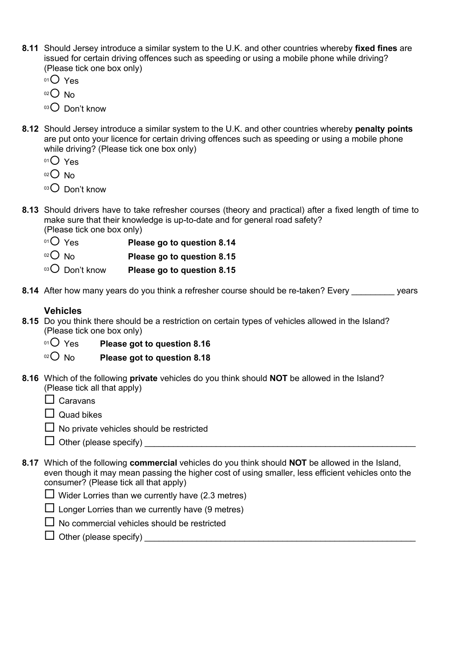- **8.11** Should Jersey introduce a similar system to the U.K. and other countries whereby **fixed fines** are issued for certain driving offences such as speeding or using a mobile phone while driving? (Please tick one box only)
	- 01<sup>O</sup> Yes
	- $02O$  No
	- $03$  Don't know
- **8.12** Should Jersey introduce a similar system to the U.K. and other countries whereby **penalty points** are put onto your licence for certain driving offences such as speeding or using a mobile phone while driving? (Please tick one box only)
	- $01O$  Yes
	- $02$  No
	- $03$  Don't know
- **8.13** Should drivers have to take refresher courses (theory and practical) after a fixed length of time to make sure that their knowledge is up-to-date and for general road safety? (Please tick one box only)
	- <sup>01</sup>○ Yes **Please go to question 8.14**
	- 02<sup>O</sup> No **Please go to question 8.15**
	- <sup>03</sup> Don't know **Please go to question 8.15**
- **8.14** After how many years do you think a refresher course should be re-taken? Every vears

#### **Vehicles**

- **8.15** Do you think there should be a restriction on certain types of vehicles allowed in the Island? (Please tick one box only)
	- <sup>01</sup> $\bigcirc$  Yes Please got to question 8.16
	- <sup>02</sup> No **Please got to question 8.18**
- **8.16** Which of the following **private** vehicles do you think should **NOT** be allowed in the Island? (Please tick all that apply)
	- $\Box$  Caravans
	- $\Box$  Quad bikes
	- $\Box$  No private vehicles should be restricted
	- $\Box$  Other (please specify)  $\Box$
- **8.17** Which of the following **commercial** vehicles do you think should **NOT** be allowed in the Island, even though it may mean passing the higher cost of using smaller, less efficient vehicles onto the consumer? (Please tick all that apply)
	- $\Box$  Wider Lorries than we currently have (2.3 metres)
	- $\Box$  Longer Lorries than we currently have (9 metres)
	- $\Box$  No commercial vehicles should be restricted
	- $\Box$  Other (please specify)  $\Box$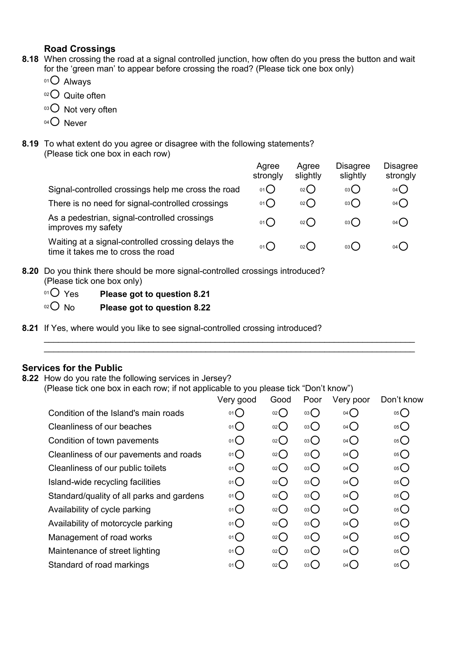### **Road Crossings**

- **8.18** When crossing the road at a signal controlled junction, how often do you press the button and wait for the 'green man' to appear before crossing the road? (Please tick one box only)
	- $01$  Always
	- $02$  Quite often
	- 03<sup>O</sup> Not very often
	- 04<sup>O</sup> Never
- **8.19** To what extent do you agree or disagree with the following statements? (Please tick one box in each row)

|                                                                                          | Agree<br>strongly | Agree<br>slightly | <b>Disagree</b><br>slightly | <b>Disagree</b><br>strongly |  |  |
|------------------------------------------------------------------------------------------|-------------------|-------------------|-----------------------------|-----------------------------|--|--|
| Signal-controlled crossings help me cross the road                                       | 01()              | O(2)              | 03                          | $04$ $\bigcirc$             |  |  |
| There is no need for signal-controlled crossings                                         | 01()              | $_{02}( )$        | 03                          | $04$ $\bigcirc$             |  |  |
| As a pedestrian, signal-controlled crossings<br>improves my safety                       | 01()              | 02()              | 03()                        | 04( )                       |  |  |
| Waiting at a signal-controlled crossing delays the<br>time it takes me to cross the road | 01()              | 02()              | 03()                        | $04$ $\left($               |  |  |
| Do you think there abould be mere signal controlled eressings introduced?                |                   |                   |                             |                             |  |  |

\_\_\_\_\_\_\_\_\_\_\_\_\_\_\_\_\_\_\_\_\_\_\_\_\_\_\_\_\_\_\_\_\_\_\_\_\_\_\_\_\_\_\_\_\_\_\_\_\_\_\_\_\_\_\_\_\_\_\_\_\_\_\_\_\_\_\_\_\_\_\_\_\_\_\_\_\_\_ \_\_\_\_\_\_\_\_\_\_\_\_\_\_\_\_\_\_\_\_\_\_\_\_\_\_\_\_\_\_\_\_\_\_\_\_\_\_\_\_\_\_\_\_\_\_\_\_\_\_\_\_\_\_\_\_\_\_\_\_\_\_\_\_\_\_\_\_\_\_\_\_\_\_\_\_\_\_

**8.20** Do you think there should be more signal-controlled crossings introduced? (Please tick one box only)

| $01O$ Yes | Please got to question 8.21 |
|-----------|-----------------------------|
| $O02$ No  | Please got to question 8.22 |

**8.21** If Yes, where would you like to see signal-controlled crossing introduced?

#### **Services for the Public**

**8.22** How do you rate the following services in Jersey?

(Please tick one box in each row; if not applicable to you please tick "Don't know")

|                                           | Very good       | Good  | Poor | Very poor       | Don't know |
|-------------------------------------------|-----------------|-------|------|-----------------|------------|
| Condition of the Island's main roads      | 01()            | 02O   | 03O  | $04$ $\bigcirc$ | 05         |
| Cleanliness of our beaches                | 01()            | 02    | 03() | $04$ $\bigcirc$ | 05         |
| Condition of town pavements               | 01              | 02    | 03() | $04$ $\bigcirc$ | 05         |
| Cleanliness of our pavements and roads    | $01$ $\bigcirc$ | 02    | 03   | $04$ $\bigcirc$ | 05         |
| Cleanliness of our public toilets         | 01              | O(2C) | 03   | $04$ $\bigcirc$ | 05         |
| Island-wide recycling facilities          | 01              | 02    | 03   | $04$ $\bigcirc$ | 05O        |
| Standard/quality of all parks and gardens | 01()            | 02    | 03() | $04$ $\bigcirc$ | 05         |
| Availability of cycle parking             | 01              | 02    | 03   | $04$ $\bigcirc$ | 05         |
| Availability of motorcycle parking        | 01              | O(2C) | 03   | $04$ $\bigcirc$ | 05         |
| Management of road works                  | 01()            | 02    | 03   | $04$ $\bigcirc$ | 05         |
| Maintenance of street lighting            | 01()            | 02    | 03   | $04$ $\bigcirc$ | 05         |
| Standard of road markings                 | 01()            | 02    | 03() | $04$ $\bigcirc$ | 05         |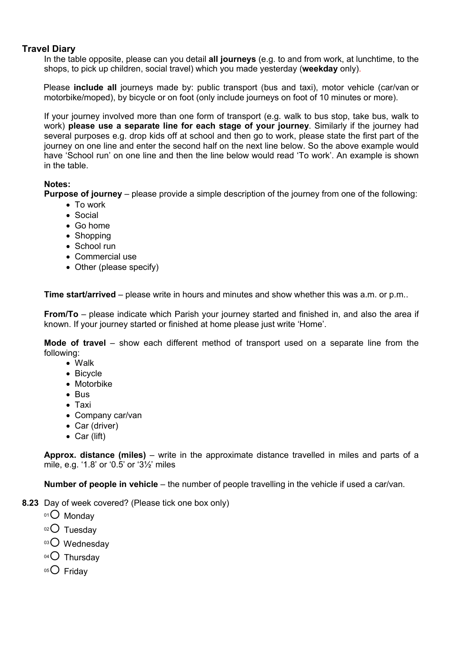### **Travel Diary**

In the table opposite, please can you detail **all journeys** (e.g. to and from work, at lunchtime, to the shops, to pick up children, social travel) which you made yesterday (**weekday** only).

Please **include all** journeys made by: public transport (bus and taxi), motor vehicle (car/van or motorbike/moped), by bicycle or on foot (only include journeys on foot of 10 minutes or more).

If your journey involved more than one form of transport (e.g. walk to bus stop, take bus, walk to work) **please use a separate line for each stage of your journey**. Similarly if the journey had several purposes e.g. drop kids off at school and then go to work, please state the first part of the journey on one line and enter the second half on the next line below. So the above example would have 'School run' on one line and then the line below would read 'To work'. An example is shown in the table.

#### **Notes:**

**Purpose of journey** – please provide a simple description of the journey from one of the following:

- · To work
- · Social
- · Go home
- Shopping
- School run
- · Commercial use
- Other (please specify)

**Time start/arrived** – please write in hours and minutes and show whether this was a.m. or p.m..

**From/To** – please indicate which Parish your journey started and finished in, and also the area if known. If your journey started or finished at home please just write 'Home'.

**Mode of travel** – show each different method of transport used on a separate line from the following:

- · Walk
- · Bicycle
- · Motorbike
- · Bus
- · Taxi
- · Company car/van
- Car (driver)
- Car (lift)

**Approx. distance (miles)** – write in the approximate distance travelled in miles and parts of a mile, e.g. '1.8' or '0.5' or '3½' miles

**Number of people in vehicle** – the number of people travelling in the vehicle if used a car/van.

- **8.23** Day of week covered? (Please tick one box only)
	- $01$  Monday
	- $02$  Tuesday
	- 03<sup>O</sup> Wednesday
	- 04<sup>O</sup> Thursday
	- $05$  Friday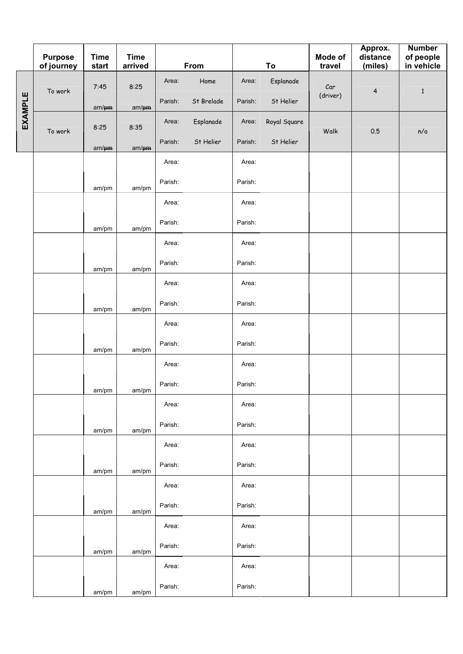|                | <b>Purpose</b><br>of journey | <b>Time</b><br>start | <b>Time</b><br>arrived |         | From       |         | To           | Mode of<br>travel | Approx.<br>distance<br>(miles) | <b>Number</b><br>of people<br>in vehicle |
|----------------|------------------------------|----------------------|------------------------|---------|------------|---------|--------------|-------------------|--------------------------------|------------------------------------------|
|                |                              | 7:45                 | 8:25                   | Area:   | Home       | Area:   | Esplanade    | Car               |                                |                                          |
| <b>EXAMPLE</b> | To work                      | am/pm                | am/pm                  | Parish: | St Brelade | Parish: | St Helier    | (driver)          | $\overline{\mathbf{4}}$        | $\mathbf{1}$                             |
|                | To work                      | 8:25                 | 8:35                   | Area:   | Esplanade  | Area:   | Royal Square | Walk              | 0.5                            | n/a                                      |
|                |                              | $am/\rho m$          | $am/\rho m$            | Parish: | St Helier  | Parish: | St Helier    |                   |                                |                                          |
|                |                              |                      |                        | Area:   |            | Area:   |              |                   |                                |                                          |
|                |                              | am/pm                | am/pm                  | Parish: |            | Parish: |              |                   |                                |                                          |
|                |                              |                      |                        | Area:   |            | Area:   |              |                   |                                |                                          |
|                |                              | am/pm                | am/pm                  | Parish: |            | Parish: |              |                   |                                |                                          |
|                |                              |                      |                        | Area:   |            | Area:   |              |                   |                                |                                          |
|                |                              | am/pm                | am/pm                  | Parish: |            | Parish: |              |                   |                                |                                          |
|                |                              |                      |                        | Area:   |            | Area:   |              |                   |                                |                                          |
|                |                              | am/pm                | am/pm                  | Parish: |            | Parish: |              |                   |                                |                                          |
|                |                              |                      |                        | Area:   |            | Area:   |              |                   |                                |                                          |
|                |                              | am/pm                | am/pm                  | Parish: |            | Parish: |              |                   |                                |                                          |
|                |                              |                      |                        | Area:   |            | Area:   |              |                   |                                |                                          |
|                |                              | am/pm                | am/pm                  | Parish: |            | Parish: |              |                   |                                |                                          |
|                |                              |                      |                        | Area:   |            | Area:   |              |                   |                                |                                          |
|                |                              | am/pm                | am/pm                  | Parish: |            | Parish: |              |                   |                                |                                          |
|                |                              |                      |                        | Area:   |            | Area:   |              |                   |                                |                                          |
|                |                              | am/pm                | am/pm                  | Parish: |            | Parish: |              |                   |                                |                                          |
|                |                              |                      |                        | Area:   |            | Area:   |              |                   |                                |                                          |
|                |                              | am/pm                | am/pm                  | Parish: |            | Parish: |              |                   |                                |                                          |
|                |                              |                      |                        | Area:   |            | Area:   |              |                   |                                |                                          |
|                |                              | am/pm                | am/pm                  | Parish: |            | Parish: |              |                   |                                |                                          |
|                |                              |                      |                        | Area:   |            | Area:   |              |                   |                                |                                          |
|                |                              | am/pm                | am/pm                  | Parish: |            | Parish: |              |                   |                                |                                          |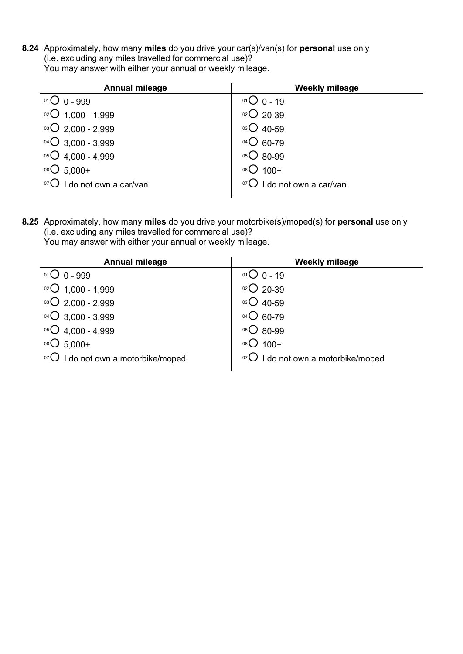**8.24** Approximately, how many **miles** do you drive your car(s)/van(s) for **personal** use only (i.e. excluding any miles travelled for commercial use)? You may answer with either your annual or weekly mileage.

| <b>Annual mileage</b>      | <b>Weekly mileage</b>              |
|----------------------------|------------------------------------|
| $01O0 - 999$               | $01O_0 - 19$                       |
| $^{02}$ O 1,000 - 1,999    | $02$ 20-39                         |
| $03\bigcirc$ 2,000 - 2,999 | $^{03}$ O 40-59                    |
| $04\bigcirc$ 3,000 - 3,999 | $04\bigcirc 60-79$                 |
| $05\bigcirc$ 4,000 - 4,999 | $05\bigcirc$ 80-99                 |
| $06O$ 5,000+               | $06O$ 100+                         |
| I do not own a car/van     | $\mathsf D$ I do not own a car/van |
|                            |                                    |

**8.25** Approximately, how many **miles** do you drive your motorbike(s)/moped(s) for **personal** use only (i.e. excluding any miles travelled for commercial use)?

You may answer with either your annual or weekly mileage.

| <b>Annual mileage</b>          | <b>Weekly mileage</b>                   |
|--------------------------------|-----------------------------------------|
| $01O$ 0 - 999                  | $01O_0 - 19$                            |
| $02$ 1,000 - 1,999             | $02$ 20-39                              |
| $03\bigcirc$ 2,000 - 2,999     | $03$ Q 40-59                            |
| $^{04}$ $O$ 3,000 - 3,999      | $^{04}$ $O$ 60-79                       |
| $05O$ 4,000 - 4,999            | $05$ 80-99                              |
| $^{06}$ O 5.000+               | $06O$ 100+                              |
| I do not own a motorbike/moped | $\sigma$   do not own a motorbike/moped |